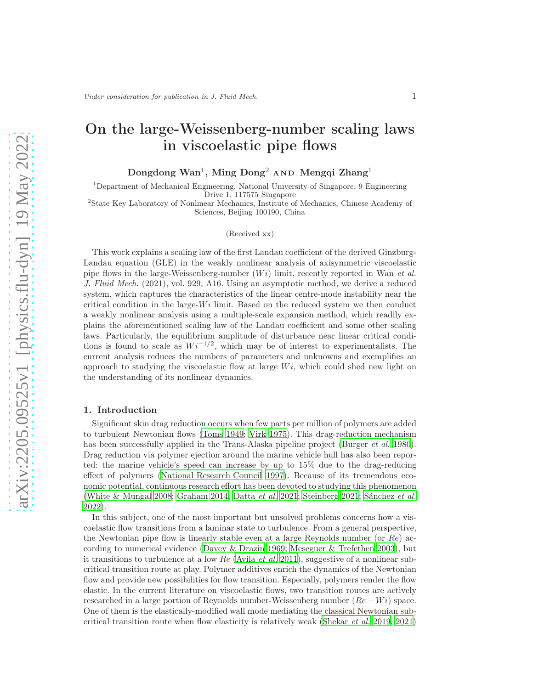# On the large-Weissenberg-number scaling laws in viscoelastic pipe flows

 $\rm{Dongdong~Wan^1,~Ming~Dong^2}$  AND  $\rm{Meng}$ i  $\rm{Zhang}^1$ 

<sup>1</sup>Department of Mechanical Engineering, National University of Singapore, 9 Engineering Drive 1, 117575 Singapore

2 State Key Laboratory of Nonlinear Mechanics, Institute of Mechanics, Chinese Academy of Sciences, Beijing 100190, China

(Received xx)

This work explains a scaling law of the first Landau coefficient of the derived Ginzburg-Landau equation (GLE) in the weakly nonlinear analysis of axisymmetric viscoelastic pipe flows in the large-Weissenberg-number  $(Wi)$  limit, recently reported in Wan et al. J. Fluid Mech. (2021), vol. 929, A16. Using an asymptotic method, we derive a reduced system, which captures the characteristics of the linear centre-mode instability near the critical condition in the large- $Wi$  limit. Based on the reduced system we then conduct a weakly nonlinear analysis using a multiple-scale expansion method, which readily explains the aforementioned scaling law of the Landau coefficient and some other scaling laws. Particularly, the equilibrium amplitude of disturbance near linear critical conditions is found to scale as  $Wi^{-1/2}$ , which may be of interest to experimentalists. The current analysis reduces the numbers of parameters and unknowns and exemplifies an approach to studying the viscoelastic flow at large  $Wi$ , which could shed new light on the understanding of its nonlinear dynamics.

#### 1. Introduction

Significant skin drag reduction occurs when few parts per million of polymers are added to turbulent Newtonian flows [\(Toms 1949;](#page-16-0) [Virk 1975\)](#page-17-0). This drag-reduction mechanism has been successfully applied in the Trans-Alaska pipeline project [\(Burger](#page-15-0) *et al.* [1980\)](#page-15-0). Drag reduction via polymer ejection around the marine vehicle hull has also been reported: the marine vehicle's speed can increase by up to 15% due to the drag-reducing effect of polymers [\(National Research Council 1997\)](#page-16-1). Because of its tremendous economic potential, continuous research effort has been devoted to studying this phenomenon [\(White & Mungal 2008](#page-17-1); [Graham 2014;](#page-15-1) [Datta](#page-15-2) et al. [2021](#page-15-2); [Steinberg 2021;](#page-16-2) [Sánchez](#page-16-3) et al. [2022\)](#page-16-3).

In this subject, one of the most important but unsolved problems concerns how a viscoelastic flow transitions from a laminar state to turbulence. From a general perspective, the Newtonian pipe flow is linearly stable even at a large Reynolds number (or  $Re$ ) according to numerical evidence [\(Davey & Drazin 1969;](#page-15-3) [Meseguer & Trefethen 2003\)](#page-16-4), but it transitions to turbulence at a low Re [\(Avila](#page-15-4) et al. [2011\)](#page-15-4), suggestive of a nonlinear subcritical transition route at play. Polymer additives enrich the dynamics of the Newtonian flow and provide new possibilities for flow transition. Especially, polymers render the flow elastic. In the current literature on viscoelastic flows, two transition routes are actively researched in a large portion of Reynolds number-Weissenberg number  $(Re - Wi)$  space. One of them is the elastically-modified wall mode mediating the classical Newtonian subcritical transition route when flow elasticity is relatively weak [\(Shekar](#page-16-5) et al. [2019,](#page-16-5) [2021\)](#page-16-6)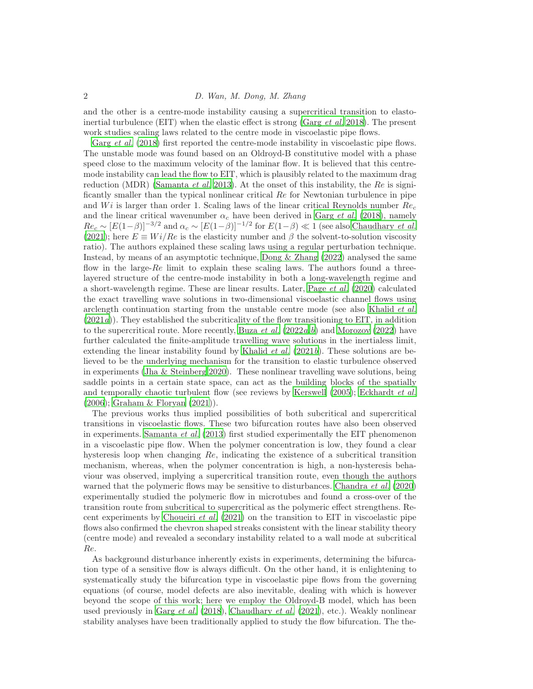and the other is a centre-mode instability causing a supercritical transition to elastoinertial turbulence (EIT) when the elastic effect is strong (Garg  $et$  al. [2018\)](#page-15-5). The present work studies scaling laws related to the centre mode in viscoelastic pipe flows.

Garg *[et al.](#page-15-5)* [\(2018](#page-15-5)) first reported the centre-mode instability in viscoelastic pipe flows. The unstable mode was found based on an Oldroyd-B constitutive model with a phase speed close to the maximum velocity of the laminar flow. It is believed that this centremode instability can lead the flow to EIT, which is plausibly related to the maximum drag reduction (MDR) [\(Samanta](#page-16-7) *et al.* [2013\)](#page-16-7). At the onset of this instability, the Re is significantly smaller than the typical nonlinear critical  $Re$  for Newtonian turbulence in pipe and  $Wi$  is larger than order 1. Scaling laws of the linear critical Reynolds number  $Re<sub>c</sub>$ and the linear critical wavenumber  $\alpha_c$  have been derived in [Garg](#page-15-5) *et al.* [\(2018\)](#page-15-5), namely  $Re_c \sim [E(1-\beta)]^{-3/2}$  and  $\alpha_c \sim [E(1-\beta)]^{-1/2}$  for  $E(1-\beta) \ll 1$  (see also [Chaudhary](#page-15-6) *et al.*) [\(2021\)](#page-15-6); here  $E \equiv Wi/Re$  is the elasticity number and  $\beta$  the solvent-to-solution viscosity ratio). The authors explained these scaling laws using a regular perturbation technique. Instead, by means of an asymptotic technique, [Dong & Zhang \(2022\)](#page-15-7) analysed the same flow in the large- $Re$  limit to explain these scaling laws. The authors found a threelayered structure of the centre-mode instability in both a long-wavelength regime and a short-wavelength regime. These are linear results. Later, Page [et al.](#page-16-8) [\(2020\)](#page-16-8) calculated the exact travelling wave solutions in two-dimensional viscoelastic channel flows using arclength continuation starting from the unstable centre mode (see also [Khalid](#page-16-9) *et al.*)  $(2021a)$  $(2021a)$ ). They established the subcriticality of the flow transitioning to EIT, in addition to the supercritical route. More recently, [Buza](#page-15-8) *et al.*  $(2022a,b)$  $(2022a,b)$  $(2022a,b)$  $(2022a,b)$  and Morozov  $(2022)$  have further calculated the finite-amplitude travelling wave solutions in the inertialess limit, extending the linear instability found by [Khalid](#page-16-11) *et al.* [\(2021](#page-16-11)*b*). These solutions are believed to be the underlying mechanism for the transition to elastic turbulence observed in experiments [\(Jha & Steinberg 2020\)](#page-15-10). These nonlinear travelling wave solutions, being saddle points in a certain state space, can act as the building blocks of the spatially and temporally chaotic turbulent flow (see reviews by [Kerswell \(2005\)](#page-16-12); [Eckhardt](#page-15-11) et al. [\(2006\)](#page-15-11); [Graham & Floryan \(2021](#page-15-12))).

The previous works thus implied possibilities of both subcritical and supercritical transitions in viscoelastic flows. These two bifurcation routes have also been observed in experiments. [Samanta](#page-16-7) et al. [\(2013](#page-16-7)) first studied experimentally the EIT phenomenon in a viscoelastic pipe flow. When the polymer concentration is low, they found a clear hysteresis loop when changing  $Re$ , indicating the existence of a subcritical transition mechanism, whereas, when the polymer concentration is high, a non-hysteresis behaviour was observed, implying a supercritical transition route, even though the authors warned that the polymeric flows may be sensitive to disturbances. [Chandra](#page-15-13) *et al.* [\(2020\)](#page-15-13) experimentally studied the polymeric flow in microtubes and found a cross-over of the transition route from subcritical to supercritical as the polymeric effect strengthens. Re-cent experiments by [Choueiri](#page-15-14) *et al.* [\(2021\)](#page-15-14) on the transition to EIT in viscoelastic pipe flows also confirmed the chevron shaped streaks consistent with the linear stability theory (centre mode) and revealed a secondary instability related to a wall mode at subcritical Re.

As background disturbance inherently exists in experiments, determining the bifurcation type of a sensitive flow is always difficult. On the other hand, it is enlightening to systematically study the bifurcation type in viscoelastic pipe flows from the governing equations (of course, model defects are also inevitable, dealing with which is however beyond the scope of this work; here we employ the Oldroyd-B model, which has been used previously in [Garg](#page-15-5) et al.  $(2018)$  $(2018)$ , [Chaudhary](#page-15-6) et al.  $(2021)$ , etc.). Weakly nonlinear stability analyses have been traditionally applied to study the flow bifurcation. The the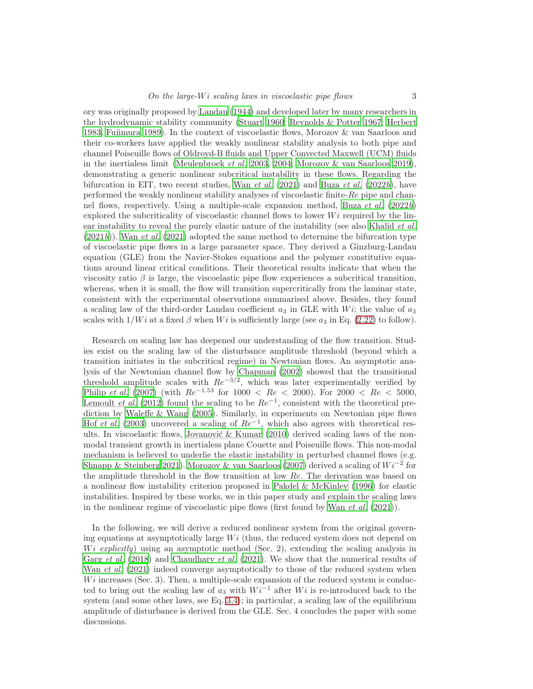ory was originally proposed by [Landau \(1944\)](#page-16-13) and developed later by many researchers in the hydrodynamic stability community [\(Stuart 1960](#page-16-14); [Reynolds & Potter 1967](#page-16-15); [Herbert](#page-15-15) [1983;](#page-15-15) [Fujimura 1989\)](#page-15-16). In the context of viscoelastic flows, Morozov & van Saarloos and their co-workers have applied the weakly nonlinear stability analysis to both pipe and channel Poiseuille flows of Oldroyd-B fluids and Upper Convected Maxwell (UCM) fluids in the inertialess limit [\(Meulenbroek](#page-16-16) et al. [2003,](#page-16-16) [2004;](#page-16-17) [Morozov & van Saarloos 2019\)](#page-16-18), demonstrating a generic nonlinear subcritical instability in these flows. Regarding the bifurcation in EIT, two recent studies, Wan *[et al.](#page-17-2)* [\(2021](#page-17-2)) and [Buza](#page-15-9) *et al.* [\(2022](#page-15-9)*b*), have performed the weakly nonlinear stability analyses of viscoelastic finite- $Re$  pipe and chan-nel flows, respectively. Using a multiple-scale expansion method, [Buza](#page-15-9) et al.  $(2022b)$  $(2022b)$ explored the subcriticality of viscoelastic channel flows to lower  $Wi$  required by the lin-ear instability to reveal the purely elastic nature of the instability (see also [Khalid](#page-16-11) *et al.*)  $(2021b)$  $(2021b)$ ). Wan *[et al.](#page-17-2)* [\(2021\)](#page-17-2) adopted the same method to determine the bifurcation type of viscoelastic pipe flows in a large parameter space. They derived a Ginzburg-Landau equation (GLE) from the Navier-Stokes equations and the polymer constitutive equations around linear critical conditions. Their theoretical results indicate that when the viscosity ratio  $\beta$  is large, the viscoelastic pipe flow experiences a subcritical transition, whereas, when it is small, the flow will transition supercritically from the laminar state, consistent with the experimental observations summarised above. Besides, they found a scaling law of the third-order Landau coefficient  $a_3$  in GLE with W<sub>i</sub>: the value of  $a_3$ scales with  $1/Wi$  at a fixed  $\beta$  when W i is sufficiently large (see  $a_3$  in Eq. [\(2.22\)](#page-7-0) to follow).

Research on scaling law has deepened our understanding of the flow transition. Studies exist on the scaling law of the disturbance amplitude threshold (beyond which a transition initiates in the subcritical regime) in Newtonian flows. An asymptotic analysis of the Newtonian channel flow by [Chapman \(2002\)](#page-15-17) showed that the transitional threshold amplitude scales with  $Re^{-3/2}$ , which was later experimentally verified by [Philip](#page-16-19) et al. [\(2007](#page-16-19)) (with  $Re^{-1.53}$  for 1000 <  $Re$  < 2000). For 2000 <  $Re$  < 5000, [Lemoult](#page-16-20) *et al.* [\(2012\)](#page-16-20) found the scaling to be  $Re^{-1}$ , consistent with the theoretical prediction by [Waleffe & Wang \(2005\)](#page-17-3). Similarly, in experiments on Newtonian pipe flows Hof [et al.](#page-15-18) [\(2003](#page-15-18)) uncovered a scaling of  $Re^{-1}$ , which also agrees with theoretical results. In viscoelastic flows, [Jovanović & Kumar \(2010\)](#page-15-19) derived scaling laws of the nonmodal transient growth in inertialess plane Couette and Poiseuille flows. This non-modal mechanism is believed to underlie the elastic instability in perturbed channel flows (e.g. [Shnapp & Steinberg 2021\)](#page-16-21). [Morozov & van Saarloos \(2007\)](#page-16-22) derived a scaling of  $Wi^{-2}$  for the amplitude threshold in the flow transition at low Re. The derivation was based on a nonlinear flow instability criterion proposed in [Pakdel & McKinley \(1996\)](#page-16-23) for elastic instabilities. Inspired by these works, we in this paper study and explain the scaling laws in the nonlinear regime of viscoelastic pipe flows (first found by Wan *[et al.](#page-17-2)*  $(2021)$ ).

In the following, we will derive a reduced nonlinear system from the original governing equations at asymptotically large  $Wi$  (thus, the reduced system does not depend on  $Wi$  explicitly) using an asymptotic method (Sec. 2), extending the scaling analysis in Garg [et al.](#page-15-5) [\(2018\)](#page-15-5) and [Chaudhary](#page-15-6) et al. [\(2021\)](#page-15-6). We show that the numerical results of Wan [et al.](#page-17-2) [\(2021\)](#page-17-2) indeed converge asymptotically to those of the reduced system when  $Wi$  increases (Sec. 3). Then, a multiple-scale expansion of the reduced system is conducted to bring out the scaling law of  $a_3$  with  $Wi^{-1}$  after Wi is re-introduced back to the system (and some other laws, see Eq. [3.4\)](#page-10-0); in particular, a scaling law of the equilibrium amplitude of disturbance is derived from the GLE. Sec. 4 concludes the paper with some discussions.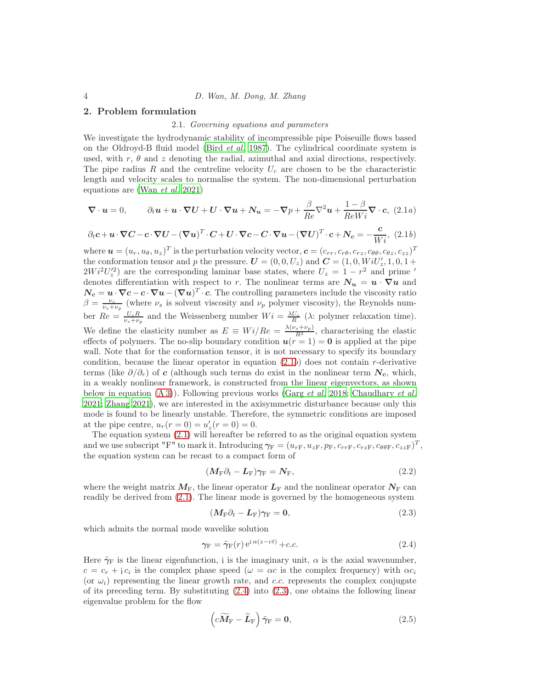#### 2. Problem formulation

#### 2.1. Governing equations and parameters

We investigate the hydrodynamic stability of incompressible pipe Poiseuille flows based on the Oldroyd-B fluid model (Bird [et al.](#page-15-20) [1987](#page-15-20)). The cylindrical coordinate system is used, with r,  $\theta$  and z denoting the radial, azimuthal and axial directions, respectively. The pipe radius R and the centreline velocity  $U_c$  are chosen to be the characteristic length and velocity scales to normalise the system. The non-dimensional perturbation equations are (Wan [et al.](#page-17-2) [2021\)](#page-17-2)

$$
\nabla \cdot \boldsymbol{u} = 0, \qquad \partial_t \boldsymbol{u} + \boldsymbol{u} \cdot \nabla U + U \cdot \nabla \boldsymbol{u} + N_{\boldsymbol{u}} = -\nabla p + \frac{\beta}{Re} \nabla^2 \boldsymbol{u} + \frac{1-\beta}{ReWi} \nabla \cdot \boldsymbol{c}, \tag{2.1a}
$$

$$
\partial_t \mathbf{c} + \mathbf{u} \cdot \nabla \mathbf{C} - \mathbf{c} \cdot \nabla \mathbf{U} - (\nabla \mathbf{u})^T \cdot \mathbf{C} + \mathbf{U} \cdot \nabla \mathbf{c} - \mathbf{C} \cdot \nabla \mathbf{u} - (\nabla \mathbf{U})^T \cdot \mathbf{c} + \mathbf{N_c} = -\frac{\mathbf{c}}{Wi}, \tag{2.1b}
$$

where  $\boldsymbol{u} = (u_r, u_\theta, u_z)^T$  is the perturbation velocity vector,  $\boldsymbol{c} = (c_{rr}, c_{r\theta}, c_{rz}, c_{\theta\theta}, c_{\theta z}, c_{zz})^T$ the conformation tensor and p the pressure.  $U = (0, 0, U_z)$  and  $C = (1, 0, W_i U'_z, 1, 0, 1 +$  $2Wi^2U_z^2$  are the corresponding laminar base states, where  $U_z = 1 - r^2$  and prime ' denotes differentiation with respect to r. The nonlinear terms are  $N_u = u \cdot \nabla u$  and  $N_c = u \cdot \nabla c - c \cdot \nabla u - (\nabla u)^T \cdot c$ . The controlling parameters include the viscosity ratio  $\beta = \frac{\nu_s}{\nu_s + \nu_p}$  (where  $\nu_s$  is solvent viscosity and  $\nu_p$  polymer viscosity), the Reynolds number  $Re = \frac{U_c R}{\nu_s + \nu_p}$  and the Weissenberg number  $Wi = \frac{\lambda U_c}{R}$  ( $\lambda$ : polymer relaxation time). We define the elasticity number as  $E \equiv Wi/Re = \frac{\lambda(\nu_s + \nu_p)}{R^2}$ , characterising the elastic effects of polymers. The no-slip boundary condition  $u(r = 1) = 0$  is applied at the pipe wall. Note that for the conformation tensor, it is not necessary to specify its boundary condition, because the linear operator in equation  $(2.1b)$  does not contain r-derivative terms (like  $\partial/\partial_r$ ) of c (although such terms do exist in the nonlinear term  $N_c$ , which, in a weakly nonlinear framework, is constructed from the linear eigenvectors, as shown below in equation  $(A 3)$ ). Following previous works [\(Garg](#page-15-5) *et al.* [2018](#page-15-5); [Chaudhary](#page-15-6) *et al.* [2021;](#page-15-6) [Zhang 2021\)](#page-17-4), we are interested in the axisymmetric disturbance because only this mode is found to be linearly unstable. Therefore, the symmetric conditions are imposed at the pipe centre,  $u_r(r = 0) = u'_z(r = 0) = 0$ .

The equation system [\(2.1\)](#page-6-0) will hereafter be referred to as the original equation system and we use subscript "F" to mark it. Introducing  $\gamma_F = (u_{rF}, u_{zF}, p_F, c_{rrF}, c_{rzF}, c_{\theta\theta F}, c_{zzF})^T$ , the equation system can be recast to a compact form of

$$
(\mathbf{M}_{\mathrm{F}}\partial_t - \mathbf{L}_{\mathrm{F}})\gamma_{\mathrm{F}} = \mathbf{N}_{\mathrm{F}},\tag{2.2}
$$

where the weight matrix  $M_F$ , the linear operator  $L_F$  and the nonlinear operator  $N_F$  can readily be derived from [\(2.1\)](#page-6-0). The linear mode is governed by the homogeneous system

$$
(M_{\rm F}\partial_t - L_{\rm F})\gamma_{\rm F} = 0, \qquad (2.3)
$$

which admits the normal mode wavelike solution

$$
\gamma_{\mathcal{F}} = \tilde{\gamma}_{\mathcal{F}}(r) e^{i \alpha (z - ct)} + c.c.
$$
 (2.4)

Here  $\tilde{\gamma}_F$  is the linear eigenfunction, i is the imaginary unit,  $\alpha$  is the axial wavenumber,  $c = c_r + i c_i$  is the complex phase speed  $(\omega = \alpha c$  is the complex frequency) with  $\alpha c_i$ (or  $\omega_i$ ) representing the linear growth rate, and c.c. represents the complex conjugate of its preceding term. By substituting  $(2.4)$  into  $(2.3)$ , one obtains the following linear eigenvalue problem for the flow

<span id="page-3-0"></span>
$$
\left(c\widetilde{M}_{\mathrm{F}} - \widetilde{L}_{\mathrm{F}}\right)\widetilde{\gamma}_{\mathrm{F}} = \mathbf{0},\tag{2.5}
$$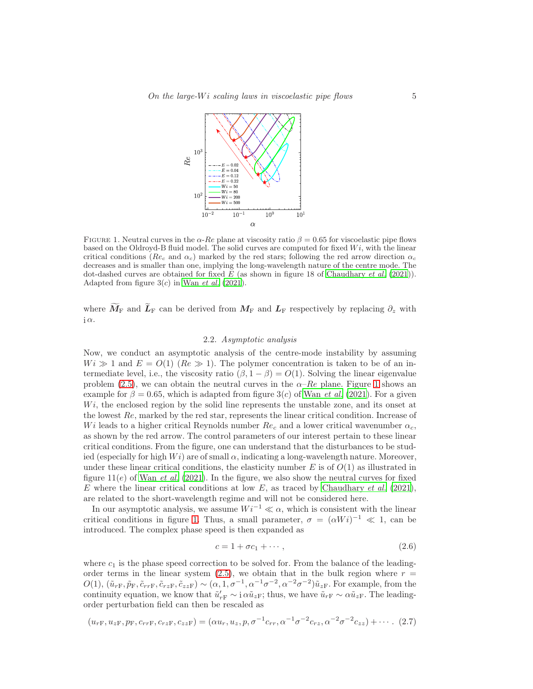

<span id="page-4-0"></span>FIGURE 1. Neutral curves in the  $\alpha$ -Re plane at viscosity ratio  $\beta = 0.65$  for viscoelastic pipe flows based on the Oldroyd-B fluid model. The solid curves are computed for fixed  $Wi$ , with the linear critical conditions ( $Re_c$  and  $\alpha_c$ ) marked by the red stars; following the red arrow direction  $\alpha_c$ decreases and is smaller than one, implying the long-wavelength nature of the centre mode. The dot-dashed curves are obtained for fixed  $\overline{E}$  (as shown in figure 18 of [Chaudhary](#page-15-6) *et al.* [\(2021\)](#page-15-6)). Adapted from figure  $3(c)$  in Wan *[et al.](#page-17-2)* [\(2021](#page-17-2)).

where  $\widetilde{M}_{\text{F}}$  and  $\widetilde{L}_{\text{F}}$  can be derived from  $M_{\text{F}}$  and  $L_{\text{F}}$  respectively by replacing  $\partial_z$  with  $i \alpha$ .

# 2.2. Asymptotic analysis

Now, we conduct an asymptotic analysis of the centre-mode instability by assuming  $Wi \gg 1$  and  $E = O(1)$  (Re  $\gg 1$ ). The polymer concentration is taken to be of an intermediate level, i.e., the viscosity ratio  $(\beta, 1 - \beta) = O(1)$ . Solving the linear eigenvalue problem [\(2.5\)](#page-3-0), we can obtain the neutral curves in the  $\alpha$ –Re plane. Figure [1](#page-4-0) shows an example for  $\beta = 0.65$ , which is adapted from figure 3(c) of Wan *[et al.](#page-17-2)* [\(2021\)](#page-17-2). For a given  $Wi$ , the enclosed region by the solid line represents the unstable zone, and its onset at the lowest  $Re$ , marked by the red star, represents the linear critical condition. Increase of Wi leads to a higher critical Reynolds number  $Re_c$  and a lower critical wavenumber  $\alpha_c$ , as shown by the red arrow. The control parameters of our interest pertain to these linear critical conditions. From the figure, one can understand that the disturbances to be studied (especially for high  $Wi$ ) are of small  $\alpha$ , indicating a long-wavelength nature. Moreover, under these linear critical conditions, the elasticity number  $E$  is of  $O(1)$  as illustrated in figure  $11(e)$  of Wan *[et al.](#page-17-2)* [\(2021\)](#page-17-2). In the figure, we also show the neutral curves for fixed E where the linear critical conditions at low  $E$ , as traced by [Chaudhary](#page-15-6) *et al.* [\(2021\)](#page-15-6), are related to the short-wavelength regime and will not be considered here.

In our asymptotic analysis, we assume  $Wi^{-1} \ll \alpha$ , which is consistent with the linear critical conditions in figure [1.](#page-4-0) Thus, a small parameter,  $\sigma = (\alpha Wi)^{-1} \ll 1$ , can be introduced. The complex phase speed is then expanded as

<span id="page-4-1"></span>
$$
c = 1 + \sigma c_1 + \cdots, \qquad (2.6)
$$

where  $c_1$  is the phase speed correction to be solved for. From the balance of the leadingorder terms in the linear system  $(2.5)$ , we obtain that in the bulk region where  $r =$  $O(1), (\tilde{u}_{rF}, \tilde{p}_F, \tilde{c}_{rrF}, \tilde{c}_{rzF}, \tilde{c}_{zzF}) \sim (\alpha, 1, \sigma^{-1}, \alpha^{-1}\sigma^{-2}, \alpha^{-2}\sigma^{-2})\tilde{u}_{zF}$ . For example, from the continuity equation, we know that  $\tilde{u}'_{rF} \sim i \alpha \tilde{u}_{zF}$ ; thus, we have  $\tilde{u}_{rF} \sim \alpha \tilde{u}_{zF}$ . The leadingorder perturbation field can then be rescaled as

<span id="page-4-2"></span>
$$
(u_{rF}, u_{zF}, p_F, c_{rrF}, c_{rzF}, c_{zzF}) = (\alpha u_r, u_z, p, \sigma^{-1} c_{rr}, \alpha^{-1} \sigma^{-2} c_{rz}, \alpha^{-2} \sigma^{-2} c_{zz}) + \cdots
$$
 (2.7)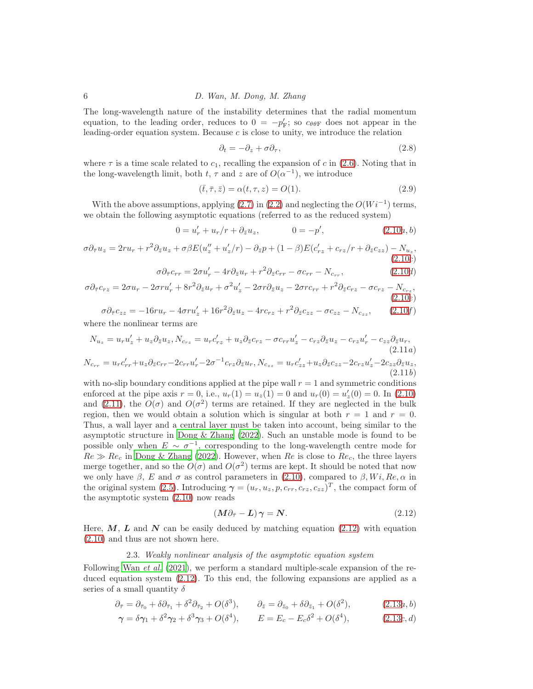The long-wavelength nature of the instability determines that the radial momentum equation, to the leading order, reduces to  $0 = -p'_{F}$ ; so  $c_{\theta\theta F}$  does not appear in the leading-order equation system. Because c is close to unity, we introduce the relation

<span id="page-5-5"></span><span id="page-5-0"></span>
$$
\partial_t = -\partial_z + \sigma \partial_\tau,\tag{2.8}
$$

where  $\tau$  is a time scale related to  $c_1$ , recalling the expansion of c in [\(2.6\)](#page-4-1). Noting that in the long-wavelength limit, both  $t, \tau$  and  $z$  are of  $O(\alpha^{-1})$ , we introduce

<span id="page-5-4"></span>
$$
(\bar{t}, \bar{\tau}, \bar{z}) = \alpha(t, \tau, z) = O(1). \tag{2.9}
$$

With the above assumptions, applying  $(2.7)$  in  $(2.2)$  and neglecting the  $O(Wi^{-1})$  terms, we obtain the following asymptotic equations (referred to as the reduced system)

$$
0 = u'_r + u_r/r + \partial_{\bar{z}} u_z, \qquad 0 = -p', \qquad (2.10a, b)
$$

$$
\sigma \partial_{\bar{\tau}} u_z = 2r u_r + r^2 \partial_{\bar{z}} u_z + \sigma \beta E(u''_z + u'_z/r) - \partial_{\bar{z}} p + (1 - \beta) E(c'_{rz} + c_{rz}/r + \partial_{\bar{z}} c_{zz}) - N_{u_z},
$$
\n(2.10c)

<span id="page-5-1"></span>
$$
\sigma \partial_{\bar{\tau}} c_{rr} = 2\sigma u'_r - 4r \partial_{\bar{z}} u_r + r^2 \partial_{\bar{z}} c_{rr} - \sigma c_{rr} - N_{c_{rr}}, \qquad (2.10d)
$$

$$
\sigma \partial_{\overline{\tau}} c_{rz} = 2\sigma u_r - 2\sigma r u'_r + 8r^2 \partial_{\overline{z}} u_r + \sigma^2 u'_z - 2\sigma r \partial_{\overline{z}} u_z - 2\sigma r c_{rr} + r^2 \partial_{\overline{z}} c_{rz} - \sigma c_{rz} - N_{c_{rz}},
$$
\n(2.10e)

$$
\sigma \partial_{\overline{r}} c_{zz} = -16ru_r - 4\sigma ru'_z + 16r^2 \partial_{\overline{z}} u_z - 4rc_{rz} + r^2 \partial_{\overline{z}} c_{zz} - \sigma c_{zz} - N_{czz}, \qquad (2.10f)
$$

where the nonlinear terms are

$$
N_{u_z} = u_r u'_z + u_z \partial_{\bar{z}} u_z, N_{c_{rz}} = u_r c'_{rz} + u_z \partial_{\bar{z}} c_{rz} - \sigma c_{rr} u'_z - c_{rz} \partial_{\bar{z}} u_z - c_{rz} u'_r - c_{zz} \partial_{\bar{z}} u_r,
$$
\n
$$
(2.11a)
$$
\n
$$
N_{c_{rr}} = u_r c'_{rr} + u_z \partial_{\bar{z}} c_{rr} - 2c_{rr} u'_r - 2\sigma^{-1} c_{rz} \partial_{\bar{z}} u_r, N_{c_{zz}} = u_r c'_{zz} + u_z \partial_{\bar{z}} c_{zz} - 2c_{rz} u'_z - 2c_{zz} \partial_{\bar{z}} u_z,
$$
\n
$$
(2.11b)
$$

with no-slip boundary conditions applied at the pipe wall  $r = 1$  and symmetric conditions enforced at the pipe axis  $r = 0$ , i.e.,  $u_r(1) = u_z(1) = 0$  and  $u_r(0) = u'_z(0) = 0$ . In [\(2.10\)](#page-5-0) and [\(2.11\)](#page-5-1), the  $O(\sigma)$  and  $O(\sigma^2)$  terms are retained. If they are neglected in the bulk region, then we would obtain a solution which is singular at both  $r = 1$  and  $r = 0$ . Thus, a wall layer and a central layer must be taken into account, being similar to the asymptotic structure in [Dong & Zhang \(2022\)](#page-15-7). Such an unstable mode is found to be possible only when  $E \sim \sigma^{-1}$ , corresponding to the long-wavelength centre mode for  $Re \gg Re_c$  in [Dong & Zhang \(2022](#page-15-7)). However, when Re is close to  $Re_c$ , the three layers merge together, and so the  $O(\sigma)$  and  $O(\sigma^2)$  terms are kept. It should be noted that now we only have  $\beta$ , E and  $\sigma$  as control parameters in [\(2.10\)](#page-5-0), compared to  $\beta$ , Wi, Re,  $\alpha$  in the original system [\(2.5\)](#page-3-0). Introducing  $\gamma = (u_r, u_z, p, c_{rr}, c_{rz}, c_{zz})^T$ , the compact form of the asymptotic system [\(2.10\)](#page-5-0) now reads

<span id="page-5-2"></span>
$$
\left(M\partial_{\bar{\tau}} - L\right)\gamma = N.\tag{2.12}
$$

Here,  $M$ ,  $L$  and  $N$  can be easily deduced by matching equation [\(2.12\)](#page-5-2) with equation [\(2.10\)](#page-5-0) and thus are not shown here.

### <span id="page-5-3"></span>2.3. Weakly nonlinear analysis of the asymptotic equation system

Following Wan *[et al.](#page-17-2)* [\(2021\)](#page-17-2), we perform a standard multiple-scale expansion of the reduced equation system [\(2.12\)](#page-5-2). To this end, the following expansions are applied as a series of a small quantity  $\delta$ 

$$
\partial_{\bar{\tau}} = \partial_{\bar{\tau}_0} + \delta \partial_{\bar{\tau}_1} + \delta^2 \partial_{\bar{\tau}_2} + O(\delta^3), \qquad \partial_{\bar{z}} = \partial_{\bar{z}_0} + \delta \partial_{\bar{z}_1} + O(\delta^2), \tag{2.13a,b}
$$

$$
\gamma = \delta \gamma_1 + \delta^2 \gamma_2 + \delta^3 \gamma_3 + O(\delta^4), \qquad E = E_c - E_c \delta^2 + O(\delta^4), \tag{2.13c, d}
$$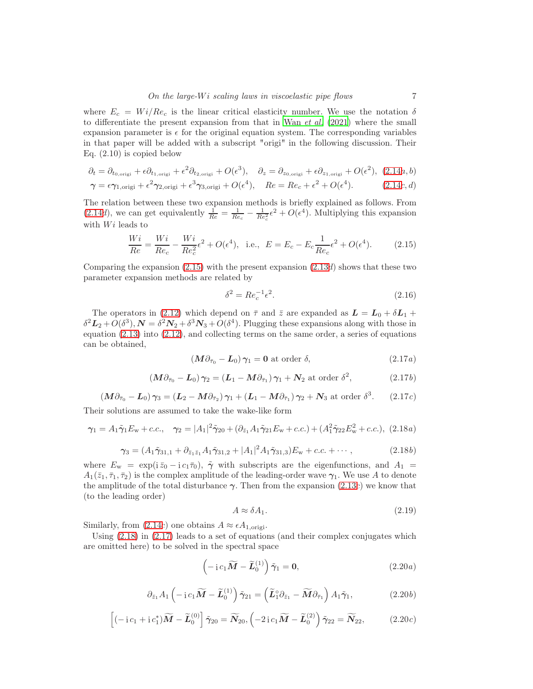where  $E_c = Wi/Re_c$  is the linear critical elasticity number. We use the notation  $\delta$ to differentiate the present expansion from that in Wan  $et al.$  [\(2021\)](#page-17-2) where the small expansion parameter is  $\epsilon$  for the original equation system. The corresponding variables in that paper will be added with a subscript "origi" in the following discussion. Their Eq. (2.10) is copied below

<span id="page-6-3"></span>
$$
\partial_t = \partial_{t_{0,\text{origi}}} + \epsilon \partial_{t_{1,\text{origi}}} + \epsilon^2 \partial_{t_{2,\text{origi}}} + O(\epsilon^3), \quad \partial_z = \partial_{z_{0,\text{origi}}} + \epsilon \partial_{z_{1,\text{origi}}} + O(\epsilon^2), \tag{2.14a, b}
$$
\n
$$
\alpha = \epsilon \alpha_{\text{max}} + \epsilon^2 \alpha_{\text{max}} + \epsilon^3 \alpha_{\text{max}} + O(\epsilon^4), \quad \text{Re } -\text{Re } + \epsilon^2 + O(\epsilon^4) \tag{2.14c, d}
$$

$$
\gamma = \epsilon \gamma_{1,\text{origi}} + \epsilon^2 \gamma_{2,\text{origi}} + \epsilon^3 \gamma_{3,\text{origi}} + O(\epsilon^4), \quad Re = Re_c + \epsilon^2 + O(\epsilon^4). \tag{2.14c, d}
$$

The relation between these two expansion methods is briefly explained as follows. From  $(2.14d)$  $(2.14d)$ , we can get equivalently  $\frac{1}{Re} = \frac{1}{Re_c} - \frac{1}{Re_c^2}e^2 + O(\epsilon^4)$ . Multiplying this expansion with  $Wi$  leads to

<span id="page-6-4"></span>
$$
\frac{Wi}{Re} = \frac{Wi}{Re_c} - \frac{Wi}{Re_c^2} \epsilon^2 + O(\epsilon^4), \text{ i.e., } E = E_c - E_c \frac{1}{Re_c} \epsilon^2 + O(\epsilon^4). \tag{2.15}
$$

Comparing the expansion  $(2.15)$  with the present expansion  $(2.13d)$  $(2.13d)$  shows that these two parameter expansion methods are related by

<span id="page-6-8"></span>
$$
\delta^2 = Re_c^{-1} \epsilon^2. \tag{2.16}
$$

The operators in [\(2.12\)](#page-5-2) which depend on  $\bar{\tau}$  and  $\bar{z}$  are expanded as  $\bar{L} = L_0 + \delta L_1 +$  $\delta^2 L_2 + O(\delta^3), \mathbf{N} = \delta^2 \mathbf{N}_2 + \delta^3 \mathbf{N}_3 + O(\delta^4)$ . Plugging these expansions along with those in equation [\(2.13\)](#page-5-3) into [\(2.12\)](#page-5-2), and collecting terms on the same order, a series of equations can be obtained,

<span id="page-6-5"></span>
$$
\left(M\partial_{\bar{\tau}_0} - \mathbf{L}_0\right)\gamma_1 = \mathbf{0} \text{ at order } \delta,\tag{2.17a}
$$

<span id="page-6-6"></span>
$$
(M\partial_{\bar{\tau}_0} - L_0)\gamma_2 = (L_1 - M\partial_{\bar{\tau}_1})\gamma_1 + N_2 \text{ at order } \delta^2,
$$
 (2.17*b*)

$$
\left(M\partial_{\bar{\tau}_0} - L_0\right)\gamma_3 = \left(L_2 - M\partial_{\bar{\tau}_2}\right)\gamma_1 + \left(L_1 - M\partial_{\bar{\tau}_1}\right)\gamma_2 + N_3 \text{ at order } \delta^3. \qquad (2.17c)
$$

Their solutions are assumed to take the wake-like form

$$
\gamma_1 = A_1 \tilde{\gamma}_1 E_w + c.c., \quad \gamma_2 = |A_1|^2 \tilde{\gamma}_{20} + (\partial_{\bar{z}_1} A_1 \tilde{\gamma}_{21} E_w + c.c.) + (A_1^2 \tilde{\gamma}_{22} E_w^2 + c.c.), \tag{2.18a}
$$

$$
\gamma_3 = (A_1 \tilde{\gamma}_{31,1} + \partial_{\bar{z}_1 \bar{z}_1} A_1 \tilde{\gamma}_{31,2} + |A_1|^2 A_1 \tilde{\gamma}_{31,3}) E_w + c.c. + \cdots, \qquad (2.18b)
$$

where  $E_{\rm w} = \exp(i \bar{z}_0 - i c_1 \bar{\tau}_0), \tilde{\gamma}$  with subscripts are the eigenfunctions, and  $A_1 =$  $A_1(\bar{z}_1,\bar{\tau}_1,\bar{\tau}_2)$  is the complex amplitude of the leading-order wave  $\gamma_1$ . We use A to denote the amplitude of the total disturbance  $\gamma$ . Then from the expansion [\(2.13](#page-5-3)c) we know that (to the leading order)

<span id="page-6-9"></span><span id="page-6-7"></span>
$$
A \approx \delta A_1. \tag{2.19}
$$

Similarly, from  $(2.14c)$  one obtains  $A \approx \epsilon A_{1,\text{origi}}$ .

Using [\(2.18\)](#page-6-5) in [\(2.17\)](#page-6-6) leads to a set of equations (and their complex conjugates which are omitted here) to be solved in the spectral space

<span id="page-6-0"></span>
$$
\left(-\operatorname{i}c_{1}\widetilde{M}-\widetilde{L}_{0}^{(1)}\right)\widetilde{\gamma}_{1}=0, \qquad (2.20a)
$$

<span id="page-6-2"></span>
$$
\partial_{\bar{z}_1} A_1 \left( -\mathrm{i} \, c_1 \widetilde{M} - \widetilde{L}_0^{(1)} \right) \widetilde{\gamma}_{21} = \left( \widetilde{L}_1^{\circ} \partial_{\bar{z}_1} - \widetilde{M} \partial_{\bar{\tau}_1} \right) A_1 \widetilde{\gamma}_1, \tag{2.20b}
$$

<span id="page-6-1"></span>
$$
\left[(-\operatorname{i}c_{1}+\operatorname{i}c_{1}^{*})\widetilde{M}-\widetilde{L}_{0}^{(0)}\right]\widetilde{\gamma}_{20}=\widetilde{N}_{20},\left(-2\operatorname{i}c_{1}\widetilde{M}-\widetilde{L}_{0}^{(2)}\right)\widetilde{\gamma}_{22}=\widetilde{N}_{22},\qquad(2.20c)
$$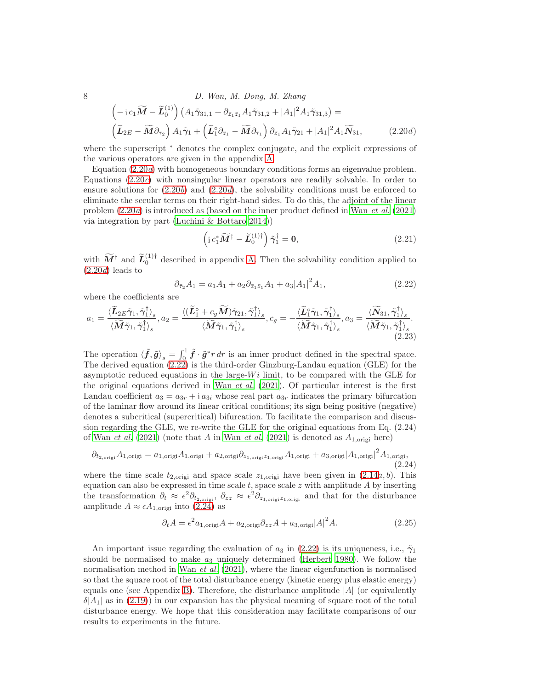8 D. Wan, M. Dong, M. Zhang  $(-ie_1\widetilde{M}-\widetilde{L}_0^{(1)})\left(A_1\widetilde{\gamma}_{31,1}+\partial_{\bar{z}_1\bar{z}_1}A_1\widetilde{\gamma}_{31,2}+|A_1|^2A_1\widetilde{\gamma}_{31,3}\right)=$  $\left(\widetilde{\mathbf{L}}_{2E} - \widetilde{\mathbf{M}} \partial_{\bar{\tau}_2}\right) A_1 \widetilde{\gamma}_1 + \left(\widetilde{\mathbf{L}}_1^{\circ} \partial_{\bar{z}_1} - \widetilde{\mathbf{M}} \partial_{\bar{\tau}_1}\right) \partial_{\bar{z}_1} A_1 \widetilde{\gamma}_{21} + |A_1|^2 A_1 \widetilde{\mathbf{N}}_{31},$  (2.20d)

where the superscript  $*$  denotes the complex conjugate, and the explicit expressions of the various operators are given in the appendix [A.](#page-12-0)

Equation [\(2.20](#page-6-0)a) with homogeneous boundary conditions forms an eigenvalue problem. Equations  $(2.20c)$  with nonsingular linear operators are readily solvable. In order to ensure solutions for  $(2.20b)$  and  $(2.20d)$ , the solvability conditions must be enforced to eliminate the secular terms on their right-hand sides. To do this, the adjoint of the linear problem  $(2.20a)$  is introduced as (based on the inner product defined in Wan *[et al.](#page-17-2)*  $(2021)$ via integration by part [\(Luchini & Bottaro 2014](#page-16-24)))

<span id="page-7-4"></span><span id="page-7-1"></span>
$$
\left(\mathrm{i}\,c_1^*\widetilde{M}^\dagger - \widetilde{L}_0^{(1)\dagger}\right)\widetilde{\gamma}_1^\dagger = 0,\tag{2.21}
$$

with  $\widetilde{M}^{\dagger}$  and  $\widetilde{L}_{0}^{(1)\dagger}$  described in appendix [A.](#page-12-0) Then the solvability condition applied to  $(2.20d)$  $(2.20d)$  leads to

<span id="page-7-0"></span>
$$
\partial_{\bar{\tau}_2} A_1 = a_1 A_1 + a_2 \partial_{\bar{z}_1 \bar{z}_1} A_1 + a_3 |A_1|^2 A_1, \tag{2.22}
$$

where the coefficients are

$$
a_1 = \frac{\langle \widetilde{\mathbf{L}}_{2E} \widetilde{\boldsymbol{\gamma}}_1, \widetilde{\boldsymbol{\gamma}}_1^{\dagger} \rangle_s}{\langle \widetilde{\mathbf{M}} \widetilde{\boldsymbol{\gamma}}_1, \widetilde{\boldsymbol{\gamma}}_1^{\dagger} \rangle_s}, a_2 = \frac{\langle (\widetilde{\mathbf{L}}_1^{\circ} + c_g \widetilde{\mathbf{M}}) \widetilde{\boldsymbol{\gamma}}_{21}, \widetilde{\boldsymbol{\gamma}}_1^{\dagger} \rangle_s}{\langle \widetilde{\mathbf{M}} \widetilde{\boldsymbol{\gamma}}_1, \widetilde{\boldsymbol{\gamma}}_1^{\dagger} \rangle_s}, c_g = -\frac{\langle \widetilde{\mathbf{L}}_1^{\circ} \widetilde{\boldsymbol{\gamma}}_1, \widetilde{\boldsymbol{\gamma}}_1^{\dagger} \rangle_s}{\langle \widetilde{\mathbf{M}} \widetilde{\boldsymbol{\gamma}}_1, \widetilde{\boldsymbol{\gamma}}_1^{\dagger} \rangle_s}, a_3 = \frac{\langle \widetilde{\mathbf{N}}_{31}, \widetilde{\boldsymbol{\gamma}}_1^{\dagger} \rangle_s}{\langle \widetilde{\mathbf{M}} \widetilde{\boldsymbol{\gamma}}_1, \widetilde{\boldsymbol{\gamma}}_1^{\dagger} \rangle_s}.
$$
\n(2.23)

The operation  $\langle \tilde{f}, \tilde{g} \rangle_s = \int_0^1 \tilde{f} \cdot \tilde{g}^* r dr$  is an inner product defined in the spectral space. The derived equation [\(2.22\)](#page-7-0) is the third-order Ginzburg-Landau equation (GLE) for the asymptotic reduced equations in the large- $Wi$  limit, to be compared with the GLE for the original equations derived in Wan [et al.](#page-17-2)  $(2021)$ . Of particular interest is the first Landau coefficient  $a_3 = a_{3r} + i a_{3i}$  whose real part  $a_{3r}$  indicates the primary bifurcation of the laminar flow around its linear critical conditions; its sign being positive (negative) denotes a subcritical (supercritical) bifurcation. To facilitate the comparison and discussion regarding the GLE, we re-write the GLE for the original equations from Eq. (2.24) of Wan [et al.](#page-17-2) [\(2021\)](#page-17-2) (note that A in Wan et al. (2021) is denoted as  $A_{1,\text{origi}}$  here)

<span id="page-7-2"></span>
$$
\partial_{t_{2,\text{origi}}} A_{1,\text{origi}} = a_{1,\text{origi}} A_{1,\text{origi}} + a_{2,\text{origi}} \partial_{z_{1,\text{origi}} z_{1,\text{origi}}} A_{1,\text{origi}} + a_{3,\text{origi}} |A_{1,\text{origi}}|^2 A_{1,\text{origi}},
$$
\n(2.24)

where the time scale  $t_{2,\text{origi}}$  and space scale  $z_{1,\text{origi}}$  have been given in  $(2.14a, b)$  $(2.14a, b)$ . This equation can also be expressed in time scale t, space scale z with amplitude A by inserting the transformation  $\partial_t \approx \epsilon^2 \partial_{t_{2,\text{origi}}}, \ \partial_{zz} \approx \epsilon^2 \partial_{z_{1,\text{origi}} z_{1,\text{origi}}}$  and that for the disturbance amplitude  $A \approx \epsilon A_{1,\text{origi}}$  into [\(2.24\)](#page-7-2) as

<span id="page-7-3"></span>
$$
\partial_t A = \epsilon^2 a_{1,\text{origi}} A + a_{2,\text{origi}} \partial_{zz} A + a_{3,\text{origi}} |A|^2 A. \tag{2.25}
$$

An important issue regarding the evaluation of  $a_3$  in [\(2.22\)](#page-7-0) is its uniqueness, i.e.,  $\tilde{\gamma}_1$ should be normalised to make  $a_3$  uniquely determined [\(Herbert 1980\)](#page-15-21). We follow the normalisation method in Wan *[et al.](#page-17-2)* [\(2021\)](#page-17-2), where the linear eigenfunction is normalised so that the square root of the total disturbance energy (kinetic energy plus elastic energy) equals one (see Appendix [B\)](#page-13-1). Therefore, the disturbance amplitude  $|A|$  (or equivalently  $\delta |A_1|$  as in [\(2.19\)](#page-6-7)) in our expansion has the physical meaning of square root of the total disturbance energy. We hope that this consideration may facilitate comparisons of our results to experiments in the future.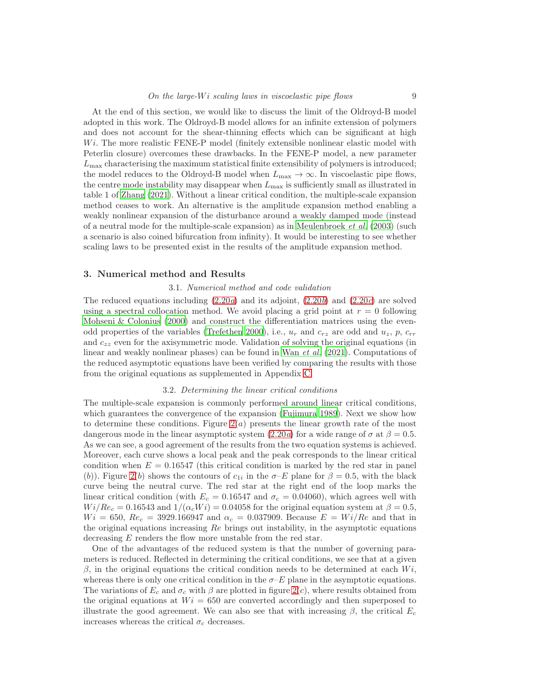At the end of this section, we would like to discuss the limit of the Oldroyd-B model adopted in this work. The Oldroyd-B model allows for an infinite extension of polymers and does not account for the shear-thinning effects which can be significant at high  $Wi.$  The more realistic FENE-P model (finitely extensible nonlinear elastic model with Peterlin closure) overcomes these drawbacks. In the FENE-P model, a new parameter  $L_{\text{max}}$  characterising the maximum statistical finite extensibility of polymers is introduced; the model reduces to the Oldroyd-B model when  $L_{\text{max}} \to \infty$ . In viscoelastic pipe flows, the centre mode instability may disappear when  $L_{\text{max}}$  is sufficiently small as illustrated in table 1 of [Zhang \(2021](#page-17-4)). Without a linear critical condition, the multiple-scale expansion method ceases to work. An alternative is the amplitude expansion method enabling a weakly nonlinear expansion of the disturbance around a weakly damped mode (instead of a neutral mode for the multiple-scale expansion) as in [Meulenbroek](#page-16-16) et al. [\(2003\)](#page-16-16) (such a scenario is also coined bifurcation from infinity). It would be interesting to see whether scaling laws to be presented exist in the results of the amplitude expansion method.

#### 3. Numerical method and Results

# 3.1. Numerical method and code validation

The reduced equations including  $(2.20a)$  and its adjoint,  $(2.20b)$  and  $(2.20c)$  are solved using a spectral collocation method. We avoid placing a grid point at  $r = 0$  following [Mohseni & Colonius \(2000\)](#page-16-25) and construct the differentiation matrices using the even-odd properties of the variables [\(Trefethen 2000\)](#page-17-5), i.e.,  $u_r$  and  $c_{rz}$  are odd and  $u_z$ , p,  $c_{rr}$ and  $c_{zz}$  even for the axisymmetric mode. Validation of solving the original equations (in linear and weakly nonlinear phases) can be found in Wan [et al.](#page-17-2) [\(2021](#page-17-2)). Computations of the reduced asymptotic equations have been verified by comparing the results with those from the original equations as supplemented in Appendix [C.](#page-14-0)

#### 3.2. Determining the linear critical conditions

The multiple-scale expansion is commonly performed around linear critical conditions, which guarantees the convergence of the expansion [\(Fujimura 1989\)](#page-15-16). Next we show how to determine these conditions. Figure  $2(a)$  presents the linear growth rate of the most dangerous mode in the linear asymptotic system  $(2.20a)$  for a wide range of  $\sigma$  at  $\beta = 0.5$ . As we can see, a good agreement of the results from the two equation systems is achieved. Moreover, each curve shows a local peak and the peak corresponds to the linear critical condition when  $E = 0.16547$  (this critical condition is marked by the red star in panel (b)). Figure [2](#page-9-0)(b) shows the contours of  $c_{1i}$  in the  $\sigma$ -E plane for  $\beta = 0.5$ , with the black curve being the neutral curve. The red star at the right end of the loop marks the linear critical condition (with  $E_c = 0.16547$  and  $\sigma_c = 0.04060$ ), which agrees well with  $Wi/Re_c = 0.16543$  and  $1/(\alpha_c Wi) = 0.04058$  for the original equation system at  $\beta = 0.5$ ,  $Wi = 650, Re_c = 3929.166947$  and  $\alpha_c = 0.037909$ . Because  $E = Wi/Re$  and that in the original equations increasing  $Re$  brings out instability, in the asymptotic equations decreasing  $E$  renders the flow more unstable from the red star.

One of the advantages of the reduced system is that the number of governing parameters is reduced. Reflected in determining the critical conditions, we see that at a given  $β$ , in the original equations the critical condition needs to be determined at each  $Wi$ , whereas there is only one critical condition in the  $\sigma$ -E plane in the asymptotic equations. The variations of  $E_c$  and  $\sigma_c$  with  $\beta$  are plotted in figure [2](#page-9-0)(c), where results obtained from the original equations at  $Wi = 650$  are converted accordingly and then superposed to illustrate the good agreement. We can also see that with increasing  $\beta$ , the critical  $E_c$ increases whereas the critical  $\sigma_c$  decreases.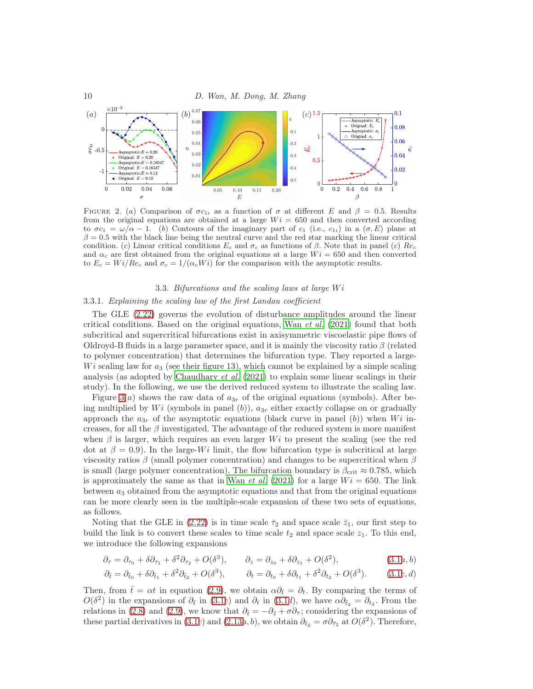

<span id="page-9-0"></span>FIGURE 2. (a) Comparison of  $\sigma c_{1i}$  as a function of  $\sigma$  at different E and  $\beta = 0.5$ . Results from the original equations are obtained at a large  $Wi = 650$  and then converted according to  $\sigma c_1 = \omega/\alpha - 1$ . (b) Contours of the imaginary part of  $c_1$  (i.e.,  $c_{1i}$ ) in a  $(\sigma, E)$  plane at  $\beta = 0.5$  with the black line being the neutral curve and the red star marking the linear critical condition. (c) Linear critical conditions  $E_c$  and  $\sigma_c$  as functions of  $\beta$ . Note that in panel (c)  $Re_c$ and  $\alpha_c$  are first obtained from the original equations at a large  $Wi = 650$  and then converted to  $E_c = Wi/Re_c$  and  $\sigma_c = 1/(\alpha_c Wi)$  for the comparison with the asymptotic results.

#### 3.3. Bifurcations and the scaling laws at large  $Wi$

# 3.3.1. Explaining the scaling law of the first Landau coefficient

The GLE [\(2.22\)](#page-7-0) governs the evolution of disturbance amplitudes around the linear critical conditions. Based on the original equations, Wan  $et$  al. [\(2021\)](#page-17-2) found that both subcritical and supercritical bifurcations exist in axisymmetric viscoelastic pipe flows of Oldroyd-B fluids in a large parameter space, and it is mainly the viscosity ratio  $\beta$  (related to polymer concentration) that determines the bifurcation type. They reported a large- $Wi$  scaling law for  $a_3$  (see their figure 13), which cannot be explained by a simple scaling analysis (as adopted by [Chaudhary](#page-15-6) et al. [\(2021\)](#page-15-6) to explain some linear scalings in their study). In the following, we use the derived reduced system to illustrate the scaling law.

Figure [3](#page-10-1)(a) shows the raw data of  $a_{3r}$  of the original equations (symbols). After being multiplied by Wi (symbols in panel  $(b)$ ),  $a_{3r}$  either exactly collapse on or gradually approach the  $a_{3r}$  of the asymptotic equations (black curve in panel (b)) when Wi increases, for all the  $\beta$  investigated. The advantage of the reduced system is more manifest when  $\beta$  is larger, which requires an even larger W<sub>i</sub> to present the scaling (see the red dot at  $\beta = 0.9$ ). In the large-Wi limit, the flow bifurcation type is subcritical at large viscosity ratios  $\beta$  (small polymer concentration) and changes to be supercritical when  $\beta$ is small (large polymer concentration). The bifurcation boundary is  $\beta_{\rm crit} \approx 0.785$ , which is approximately the same as that in Wan *[et al.](#page-17-2)* [\(2021\)](#page-17-2) for a large  $Wi = 650$ . The link between  $a_3$  obtained from the asymptotic equations and that from the original equations can be more clearly seen in the multiple-scale expansion of these two sets of equations, as follows.

Noting that the GLE in [\(2.22\)](#page-7-0) is in time scale  $\bar{\tau}_2$  and space scale  $\bar{z}_1$ , our first step to build the link is to convert these scales to time scale  $t_2$  and space scale  $z_1$ . To this end, we introduce the following expansions

$$
\partial_{\tau} = \partial_{\tau_0} + \delta \partial_{\tau_1} + \delta^2 \partial_{\tau_2} + O(\delta^3), \qquad \partial_z = \partial_{z_0} + \delta \partial_{z_1} + O(\delta^2), \tag{3.1a,b}
$$

$$
\partial_{\bar{t}} = \partial_{\bar{t}_0} + \delta \partial_{\bar{t}_1} + \delta^2 \partial_{\bar{t}_2} + O(\delta^3), \qquad \partial_t = \partial_{t_0} + \delta \partial_{t_1} + \delta^2 \partial_{t_2} + O(\delta^3). \tag{3.1c,d}
$$

Then, from  $\bar{t} = \alpha t$  in equation [\(2.9\)](#page-5-4), we obtain  $\alpha \partial_{\bar{t}} = \partial_t$ . By comparing the terms of  $O(\delta^2)$  in the expansions of  $\partial_{\bar{t}}$  in [\(3](#page-10-2).1c) and  $\partial_t$  in (3.1d), we have  $\alpha \partial_{\bar{t}_2} = \partial_{t_2}$ . From the relations in [\(2.8\)](#page-5-5) and [\(2.9\)](#page-5-4), we know that  $\partial_{\bar{t}} = -\partial_{\bar{z}} + \sigma \partial_{\bar{\tau}}$ ; considering the expansions of these partial derivatives in [\(3](#page-10-2).1c) and (2.[13](#page-5-3)a, b), we obtain  $\partial_{\bar{t}_2} = \sigma \partial_{\bar{\tau}_2}$  at  $O(\delta^2)$ . Therefore,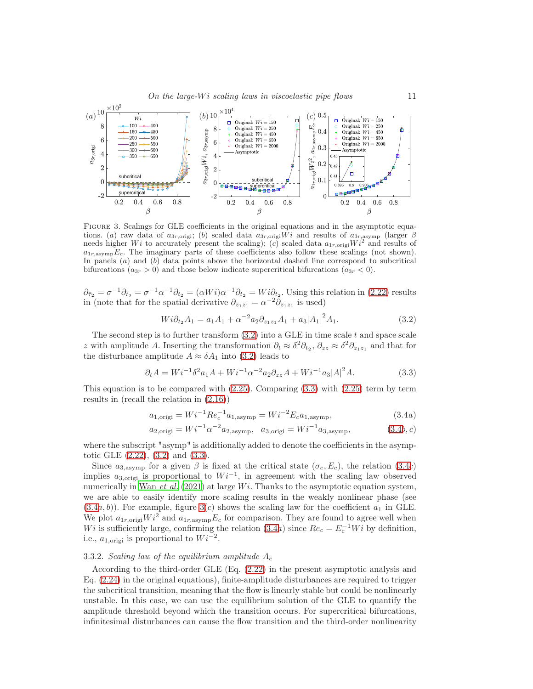

<span id="page-10-1"></span>Figure 3. Scalings for GLE coefficients in the original equations and in the asymptotic equations. (a) raw data of  $a_{3r,\text{orig}}$ ; (b) scaled data  $a_{3r,\text{orig}}$ ; wi and results of  $a_{3r,\text{asymp}}$  (larger  $\beta$  needs higher Wi to accurately present the scaling); (c) scaled data  $a_{1r,\text{orig}}$ ;  $Wi^2$  and results of  $a_{1r,\text{asym}}E_c$ . The imaginary parts of these coefficients also follow these scalings (not shown). In panels  $(a)$  and  $(b)$  data points above the horizontal dashed line correspond to subcritical bifurcations  $(a_{3r} > 0)$  and those below indicate supercritical bifurcations  $(a_{3r} < 0)$ .

 $\partial_{\bar{\tau}_2} = \sigma^{-1} \partial_{\bar{t}_2} = \sigma^{-1} \alpha^{-1} \partial_{t_2} = (\alpha W i) \alpha^{-1} \partial_{t_2} = W i \partial_{t_2}$ . Using this relation in [\(2.22\)](#page-7-0) results in (note that for the spatial derivative  $\partial_{\bar{z}_1\bar{z}_1} = \alpha^{-2}\partial_{z_1z_1}$  is used)

<span id="page-10-3"></span>
$$
Wi\partial_{t_2} A_1 = a_1 A_1 + \alpha^{-2} a_2 \partial_{z_1 z_1} A_1 + a_3 |A_1|^2 A_1.
$$
\n(3.2)

The second step is to further transform  $(3.2)$  into a GLE in time scale t and space scale z with amplitude A. Inserting the transformation  $\partial_t \approx \delta^2 \partial_{t_2}, \partial_{zz} \approx \delta^2 \partial_{z_1 z_1}$  and that for the disturbance amplitude  $A \approx \delta A_1$  into [\(3.2\)](#page-10-3) leads to

<span id="page-10-4"></span>
$$
\partial_t A = Wi^{-1} \delta^2 a_1 A + Wi^{-1} \alpha^{-2} a_2 \partial_{zz} A + Wi^{-1} a_3 |A|^2 A. \tag{3.3}
$$

This equation is to be compared with  $(2.25)$ . Comparing  $(3.3)$  with  $(2.25)$  term by term results in (recall the relation in [\(2.16\)](#page-6-8))

<span id="page-10-2"></span><span id="page-10-0"></span>
$$
a_{1,\text{origi}} = Wi^{-1} Re_c^{-1} a_{1,\text{asymp}} = Wi^{-2} E_c a_{1,\text{asymp}},
$$
\n(3.4a)

$$
a_{2,\text{origi}} = Wi^{-1} \alpha^{-2} a_{2,\text{asymp}}, \quad a_{3,\text{origi}} = Wi^{-1} a_{3,\text{asymp}}, \tag{3.4b,c}
$$

where the subscript "asymp" is additionally added to denote the coefficients in the asymptotic GLE [\(2.22\)](#page-7-0), [\(3.2\)](#page-10-3) and [\(3.3\)](#page-10-4).

Since  $a_{3,asymp}$  for a given  $\beta$  is fixed at the critical state  $(\sigma_c, E_c)$ , the relation [\(3.4](#page-10-0)c) implies  $a_{3,\text{origi}}$  is proportional to  $Wi^{-1}$ , in agreement with the scaling law observed numerically in Wan *[et al.](#page-17-2)* [\(2021\)](#page-17-2) at large  $Wi$ . Thanks to the asymptotic equation system, we are able to easily identify more scaling results in the weakly nonlinear phase (see  $(3.4a, b)$  $(3.4a, b)$ ). For example, figure  $3(c)$  shows the scaling law for the coefficient  $a<sub>1</sub>$  in GLE. We plot  $a_{1r,\text{origi}}Wi^2$  and  $a_{1r,\text{asymp}}E_c$  for comparison. They are found to agree well when Wi is sufficiently large, confirming the relation  $(3.4a)$  since  $Re_c = E_c^{-1}Wi$  by definition, i.e.,  $a_{1,\text{origi}}$  is proportional to  $Wi^{-2}$ .

#### 3.3.2. Scaling law of the equilibrium amplitude  $A_e$

According to the third-order GLE (Eq. [\(2.22\)](#page-7-0) in the present asymptotic analysis and Eq.  $(2.24)$  in the original equations), finite-amplitude disturbances are required to trigger the subcritical transition, meaning that the flow is linearly stable but could be nonlinearly unstable. In this case, we can use the equilibrium solution of the GLE to quantify the amplitude threshold beyond which the transition occurs. For supercritical bifurcations, infinitesimal disturbances can cause the flow transition and the third-order nonlinearity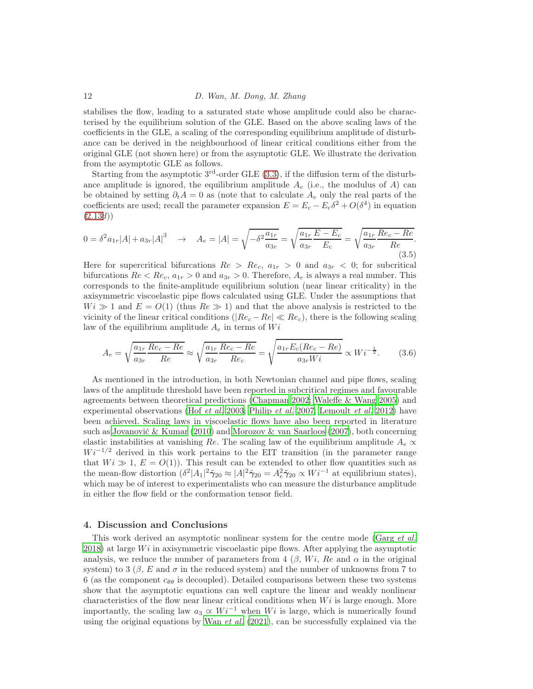stabilises the flow, leading to a saturated state whose amplitude could also be characterised by the equilibrium solution of the GLE. Based on the above scaling laws of the coefficients in the GLE, a scaling of the corresponding equilibrium amplitude of disturbance can be derived in the neighbourhood of linear critical conditions either from the original GLE (not shown here) or from the asymptotic GLE. We illustrate the derivation from the asymptotic GLE as follows.

Starting from the asymptotic  $3<sup>rd</sup>$ -order GLE  $(3.3)$ , if the diffusion term of the disturbance amplitude is ignored, the equilibrium amplitude  $A_e$  (i.e., the modulus of A) can be obtained by setting  $\partial_t A = 0$  as (note that to calculate  $A_e$  only the real parts of the coefficients are used; recall the parameter expansion  $E = E_c - E_c \delta^2 + O(\delta^4)$  in equation  $(2.13d)$  $(2.13d)$ 

$$
0 = \delta^2 a_{1r} |A| + a_{3r} |A|^3 \quad \to \quad A_e = |A| = \sqrt{-\delta^2 \frac{a_{1r}}{a_{3r}}} = \sqrt{\frac{a_{1r}}{a_{3r}} \frac{E - E_c}{E_c}} = \sqrt{\frac{a_{1r}}{a_{3r}} \frac{Re_c - Re}{Re}}.
$$
\n(3.5)

Here for supercritical bifurcations  $Re > Re_c$ ,  $a_{1r} > 0$  and  $a_{3r} < 0$ ; for subcritical bifurcations  $Re < Re_c$ ,  $a_{1r} > 0$  and  $a_{3r} > 0$ . Therefore,  $A_e$  is always a real number. This corresponds to the finite-amplitude equilibrium solution (near linear criticality) in the axisymmetric viscoelastic pipe flows calculated using GLE. Under the assumptions that  $Wi \gg 1$  and  $E = O(1)$  (thus  $Re \gg 1$ ) and that the above analysis is restricted to the vicinity of the linear critical conditions ( $|Re_c - Re| \ll Re_c$ ), there is the following scaling law of the equilibrium amplitude  $A_e$  in terms of  $Wi$ 

$$
A_e = \sqrt{\frac{a_{1r}}{a_{3r}} \frac{Re_c - Re}{Re}} \approx \sqrt{\frac{a_{1r}}{a_{3r}} \frac{Re_c - Re}{Re_c}} = \sqrt{\frac{a_{1r} E_c (Re_c - Re)}{a_{3r} Wi}} \propto Wi^{-\frac{1}{2}}.
$$
 (3.6)

As mentioned in the introduction, in both Newtonian channel and pipe flows, scaling laws of the amplitude threshold have been reported in subcritical regimes and favourable agreements between theoretical predictions [\(Chapman 2002](#page-15-17); [Waleffe & Wang 2005\)](#page-17-3) and experimental observations (Hof *[et al.](#page-15-18)* [2003](#page-15-18); [Philip](#page-16-19) *et al.* [2007;](#page-16-19) [Lemoult](#page-16-20) *et al.* [2012\)](#page-16-20) have been achieved. Scaling laws in viscoelastic flows have also been reported in literature such as [Jovanović & Kumar \(2010\)](#page-15-19) and [Morozov & van Saarloos \(2007](#page-16-22)), both concerning elastic instabilities at vanishing Re. The scaling law of the equilibrium amplitude  $A_e \propto \frac{1}{\sqrt{2\pi}}$  $Wi^{-1/2}$  derived in this work pertains to the EIT transition (in the parameter range that  $Wi \gg 1, E = O(1)$ . This result can be extended to other flow quantities such as the mean-flow distortion  $(\delta^2 |A_1|^2 \tilde{\gamma}_{20} \approx |A|^2 \tilde{\gamma}_{20} = A_e^2 \tilde{\gamma}_{20} \propto Wi^{-1}$  at equilibrium states), which may be of interest to experimentalists who can measure the disturbance amplitude in either the flow field or the conformation tensor field.

#### 4. Discussion and Conclusions

This work derived an asymptotic nonlinear system for the centre mode [\(Garg](#page-15-5) et al. [2018\)](#page-15-5) at large  $Wi$  in axisymmetric viscoelastic pipe flows. After applying the asymptotic analysis, we reduce the number of parameters from 4  $(\beta, Wi, Re$  and  $\alpha$  in the original system) to 3 ( $\beta$ , E and  $\sigma$  in the reduced system) and the number of unknowns from 7 to 6 (as the component  $c_{\theta\theta}$  is decoupled). Detailed comparisons between these two systems show that the asymptotic equations can well capture the linear and weakly nonlinear characteristics of the flow near linear critical conditions when  $Wi$  is large enough. More importantly, the scaling law  $a_3 \propto Wi^{-1}$  when Wi is large, which is numerically found using the original equations by Wan  $et \, al. \, (2021)$  $et \, al. \, (2021)$ , can be successfully explained via the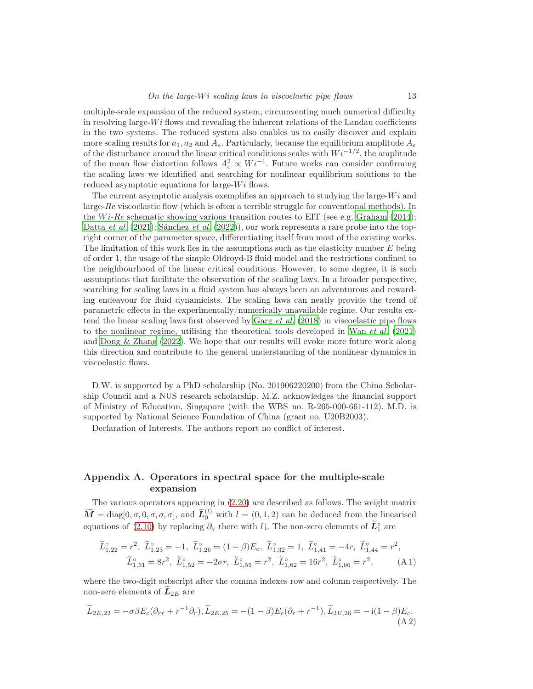multiple-scale expansion of the reduced system, circumventing much numerical difficulty in resolving large- $Wi$  flows and revealing the inherent relations of the Landau coefficients in the two systems. The reduced system also enables us to easily discover and explain more scaling results for  $a_1, a_2$  and  $A_e$ . Particularly, because the equilibrium amplitude  $A_e$ of the disturbance around the linear critical conditions scales with  $Wi^{-1/2}$ , the amplitude of the mean flow distortion follows  $A_e^2 \propto Wi^{-1}$ . Future works can consider confirming the scaling laws we identified and searching for nonlinear equilibrium solutions to the reduced asymptotic equations for large- $Wi$  flows.

The current asymptotic analysis exemplifies an approach to studying the large- $Wi$  and large- $Re$  viscoelastic flow (which is often a terrible struggle for conventional methods). In the Wi-Re schematic showing various transition routes to EIT (see e.g. [Graham \(2014\)](#page-15-1); [Datta](#page-15-2) *et al.* [\(2021](#page-15-2)); [Sánchez](#page-16-3) *et al.* [\(2022](#page-16-3))), our work represents a rare probe into the topright corner of the parameter space, differentiating itself from most of the existing works. The limitation of this work lies in the assumptions such as the elasticity number  $E$  being of order 1, the usage of the simple Oldroyd-B fluid model and the restrictions confined to the neighbourhood of the linear critical conditions. However, to some degree, it is such assumptions that facilitate the observation of the scaling laws. In a broader perspective, searching for scaling laws in a fluid system has always been an adventurous and rewarding endeavour for fluid dynamicists. The scaling laws can neatly provide the trend of parametric effects in the experimentally/numerically unavailable regime. Our results ex-tend the linear scaling laws first observed by [Garg](#page-15-5) *et al.* [\(2018\)](#page-15-5) in viscoelastic pipe flows to the nonlinear regime, utilising the theoretical tools developed in Wan [et al.](#page-17-2) [\(2021\)](#page-17-2) and [Dong & Zhang \(2022](#page-15-7)). We hope that our results will evoke more future work along this direction and contribute to the general understanding of the nonlinear dynamics in viscoelastic flows.

D.W. is supported by a PhD scholarship (No. 201906220200) from the China Scholarship Council and a NUS research scholarship. M.Z. acknowledges the financial support of Ministry of Education, Singapore (with the WBS no. R-265-000-661-112). M.D. is supported by National Science Foundation of China (grant no. U20B2003).

Declaration of Interests. The authors report no conflict of interest.

# <span id="page-12-0"></span>Appendix A. Operators in spectral space for the multiple-scale expansion

The various operators appearing in [\(2.20\)](#page-6-9) are described as follows. The weight matrix  $\widetilde{M} = \text{diag}[0, \sigma, 0, \sigma, \sigma, \sigma], \text{ and } \widetilde{L}_0^{(l)}$  with  $l = (0, 1, 2)$  can be deduced from the linearised equations of [\(2.10\)](#page-5-0) by replacing  $\partial_{\bar{z}}$  there with l<sub>i</sub>. The non-zero elements of  $\tilde{L}^{\circ}$  are

$$
\widetilde{L}_{1,22}^{\circ} = r^2, \quad \widetilde{L}_{1,23}^{\circ} = -1, \quad \widetilde{L}_{1,26}^{\circ} = (1 - \beta)E_c, \quad \widetilde{L}_{1,32}^{\circ} = 1, \quad \widetilde{L}_{1,41}^{\circ} = -4r, \quad \widetilde{L}_{1,44}^{\circ} = r^2,
$$
\n
$$
\widetilde{L}_{1,51}^{\circ} = 8r^2, \quad \widetilde{L}_{1,52}^{\circ} = -2\sigma r, \quad \widetilde{L}_{1,55}^{\circ} = r^2, \quad \widetilde{L}_{1,62}^{\circ} = 16r^2, \quad \widetilde{L}_{1,66}^{\circ} = r^2,
$$
\n(A1)

where the two-digit subscript after the comma indexes row and column respectively. The non-zero elements of  $L_{2E}$  are

$$
\widetilde{L}_{2E,22} = -\sigma \beta E_c (\partial_{rr} + r^{-1} \partial_r), \widetilde{L}_{2E,25} = -(1 - \beta) E_c (\partial_r + r^{-1}), \widetilde{L}_{2E,26} = -i(1 - \beta) E_c.
$$
\n(A2)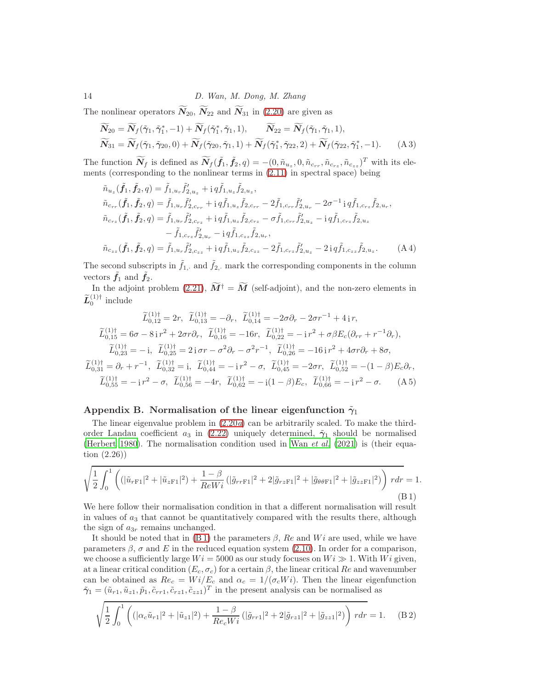The nonlinear operators  $\widetilde{N}_{20}$ ,  $\widetilde{N}_{22}$  and  $\widetilde{N}_{31}$  in [\(2.20\)](#page-6-9) are given as

$$
\widetilde{N}_{20} = \widetilde{N}_f(\widetilde{\gamma}_1, \widetilde{\gamma}_1^*, -1) + \widetilde{N}_f(\widetilde{\gamma}_1^*, \widetilde{\gamma}_1, 1), \qquad \widetilde{N}_{22} = \widetilde{N}_f(\widetilde{\gamma}_1, \widetilde{\gamma}_1, 1), \n\widetilde{N}_{31} = \widetilde{N}_f(\widetilde{\gamma}_1, \widetilde{\gamma}_{20}, 0) + \widetilde{N}_f(\widetilde{\gamma}_{20}, \widetilde{\gamma}_1, 1) + \widetilde{N}_f(\widetilde{\gamma}_1^*, \widetilde{\gamma}_{22}, 2) + \widetilde{N}_f(\widetilde{\gamma}_{22}, \widetilde{\gamma}_1^*, -1).
$$
\n(A 3)

The function  $\widetilde{N}_f$  is defined as  $\widetilde{N}_f(\tilde{f}_1, \tilde{f}_2, q) = -(0, \tilde{n}_{u_z}, 0, \tilde{n}_{c_{rr}}, \tilde{n}_{c_{rz}}, \tilde{n}_{c_{zz}})^T$  with its elements (corresponding to the nonlinear terms in [\(2.11\)](#page-5-1) in spectral space) being

<span id="page-13-0"></span>
$$
\tilde{n}_{u_{z}}(\tilde{f}_{1}, \tilde{f}_{2}, q) = \tilde{f}_{1, u_{r}} \tilde{f}'_{2, u_{z}} + i q \tilde{f}_{1, u_{z}} \tilde{f}_{2, u_{z}},
$$
\n
$$
\tilde{n}_{c_{rr}}(\tilde{f}_{1}, \tilde{f}_{2}, q) = \tilde{f}_{1, u_{r}} \tilde{f}'_{2, c_{rr}} + i q \tilde{f}_{1, u_{z}} \tilde{f}_{2, c_{rr}} - 2 \tilde{f}_{1, c_{rr}} \tilde{f}'_{2, u_{r}} - 2 \sigma^{-1} i q \tilde{f}_{1, c_{rz}} \tilde{f}_{2, u_{r}},
$$
\n
$$
\tilde{n}_{c_{rz}}(\tilde{f}_{1}, \tilde{f}_{2}, q) = \tilde{f}_{1, u_{r}} \tilde{f}'_{2, c_{rz}} + i q \tilde{f}_{1, u_{z}} \tilde{f}_{2, c_{rz}} - \sigma \tilde{f}_{1, c_{rr}} \tilde{f}'_{2, u_{z}} - i q \tilde{f}_{1, c_{rz}} \tilde{f}_{2, u_{z}} - \tilde{f}_{1, c_{rz}} \tilde{f}'_{2, u_{z}} - i q \tilde{f}_{1, c_{rz}} \tilde{f}_{2, u_{z}} - \tilde{f}_{1, c_{rz}} \tilde{f}'_{2, u_{r}} - i q \tilde{f}_{1, c_{zz}} \tilde{f}_{2, u_{r}},
$$
\n
$$
\tilde{n}_{c_{zz}}(\tilde{f}_{1}, \tilde{f}_{2}, q) = \tilde{f}_{1, u_{r}} \tilde{f}'_{2, c_{zz}} + i q \tilde{f}_{1, u_{z}} \tilde{f}_{2, c_{zz}} - 2 \tilde{f}_{1, c_{rz}} \tilde{f}'_{2, u_{z}} - 2 i q \tilde{f}_{1, c_{zz}} \tilde{f}_{2, u_{z}}.
$$
\n(A4)

The second subscripts in  $\tilde{f}_1$ , and  $\tilde{f}_2$ , mark the corresponding components in the column vectors  $\tilde{f}_1$  and  $\tilde{f}_2$ .

In the adjoint problem [\(2.21\)](#page-7-4),  $\widetilde{M}^{\dagger} = \widetilde{M}$  (self-adjoint), and the non-zero elements in  $\widetilde{L}_0^{(1)\dagger}$  include

$$
\widetilde{L}_{0,12}^{(1)\dagger} = 2r, \quad \widetilde{L}_{0,13}^{(1)\dagger} = -\partial_r, \quad \widetilde{L}_{0,14}^{(1)\dagger} = -2\sigma\partial_r - 2\sigma r^{-1} + 4\,\mathrm{i}\,r,
$$
\n
$$
\widetilde{L}_{0,15}^{(1)\dagger} = 6\sigma - 8\,\mathrm{i}\,r^2 + 2\sigma r \partial_r, \quad \widetilde{L}_{0,16}^{(1)\dagger} = -16r, \quad \widetilde{L}_{0,22}^{(1)\dagger} = -\,\mathrm{i}\,r^2 + \sigma\beta E_c(\partial_{rr} + r^{-1}\partial_r),
$$
\n
$$
\widetilde{L}_{0,23}^{(1)\dagger} = -\,\mathrm{i}, \quad \widetilde{L}_{0,25}^{(1)\dagger} = 2\,\mathrm{i}\,\sigma r - \sigma^2\partial_r - \sigma^2 r^{-1}, \quad \widetilde{L}_{0,26}^{(1)\dagger} = -16\,\mathrm{i}\,r^2 + 4\sigma r \partial_r + 8\sigma,
$$
\n
$$
\widetilde{L}_{0,31}^{(1)\dagger} = \partial_r + r^{-1}, \quad \widetilde{L}_{0,32}^{(1)\dagger} = \mathrm{i}, \quad \widetilde{L}_{0,44}^{(1)\dagger} = -\,\mathrm{i}\,r^2 - \sigma, \quad \widetilde{L}_{0,45}^{(1)\dagger} = -2\sigma r, \quad \widetilde{L}_{0,52}^{(1)\dagger} = -(1-\beta)E_c\partial_r,
$$
\n
$$
\widetilde{L}_{0,55}^{(1)\dagger} = -\,\mathrm{i}\,r^2 - \sigma, \quad \widetilde{L}_{0,56}^{(1)\dagger} = -4r, \quad \widetilde{L}_{0,62}^{(1)\dagger} = -\,\mathrm{i}\,(1-\beta)E_c, \quad \widetilde{L}_{0,66}^{(1)\dagger} = -\,\mathrm{i}\,r^2 - \sigma. \tag{A 5}
$$

#### <span id="page-13-1"></span>Appendix B. Normalisation of the linear eigenfunction  $\tilde{\gamma}_1$

The linear eigenvalue problem in [\(2.20](#page-6-0)a) can be arbitrarily scaled. To make the thirdorder Landau coefficient  $a_3$  in [\(2.22\)](#page-7-0) uniquely determined,  $\tilde{\gamma}_1$  should be normalised [\(Herbert 1980\)](#page-15-21). The normalisation condition used in Wan [et al.](#page-17-2) [\(2021\)](#page-17-2) is (their equation (2.26))

<span id="page-13-2"></span>
$$
\sqrt{\frac{1}{2} \int_0^1 \left( (|\tilde{u}_{rF1}|^2 + |\tilde{u}_{zF1}|^2) + \frac{1-\beta}{ReWi} (|\tilde{g}_{rrF1}|^2 + 2|\tilde{g}_{rzF1}|^2 + |\tilde{g}_{\theta\theta F1}|^2 + |\tilde{g}_{zzF1}|^2) \right) r dr} = 1.
$$
\n(B1)

We here follow their normalisation condition in that a different normalisation will result in values of  $a_3$  that cannot be quantitatively compared with the results there, although the sign of  $a_{3r}$  remains unchanged.

It should be noted that in [\(B 1\)](#page-13-2) the parameters  $\beta$ , Re and Wi are used, while we have parameters  $\beta$ ,  $\sigma$  and E in the reduced equation system [\(2.10\)](#page-5-0). In order for a comparison, we choose a sufficiently large  $Wi = 5000$  as our study focuses on  $Wi \gg 1$ . With  $Wi$  given, at a linear critical condition  $(E_c, \sigma_c)$  for a certain  $\beta$ , the linear critical Re and wavenumber can be obtained as  $Re_c = Wi/E_c$  and  $\alpha_c = 1/(\sigma_c Wi)$ . Then the linear eigenfunction  $\tilde{\gamma}_1 = (\tilde{u}_{r1}, \tilde{u}_{z1}, \tilde{p}_1, \tilde{c}_{rr1}, \tilde{c}_{rz1}, \tilde{c}_{zz1})^T$  in the present analysis can be normalised as

<span id="page-13-3"></span>
$$
\sqrt{\frac{1}{2} \int_0^1 \left( (|\alpha_c \tilde{u}_{r1}|^2 + |\tilde{u}_{z1}|^2) + \frac{1-\beta}{Re_c Wi} (|\tilde{g}_{rr1}|^2 + 2|\tilde{g}_{rz1}|^2 + |\tilde{g}_{zz1}|^2) \right) r dr} = 1.
$$
 (B2)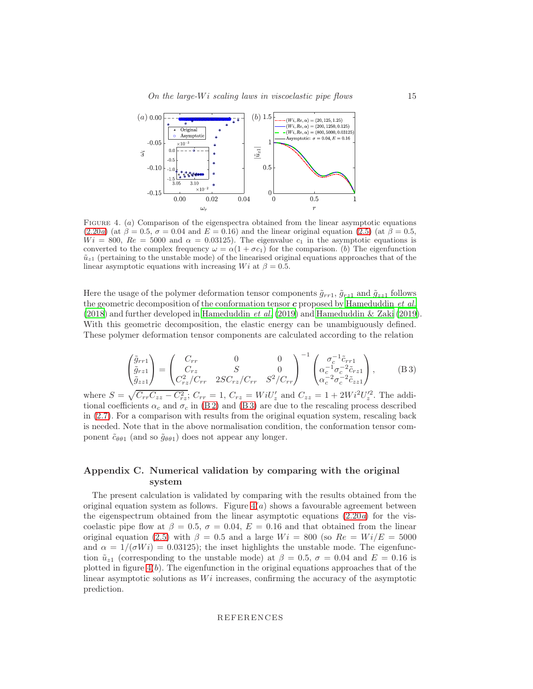

<span id="page-14-2"></span>Figure 4. (a) Comparison of the eigenspectra obtained from the linear asymptotic equations  $(2.20a)$  $(2.20a)$  (at  $\beta = 0.5$ ,  $\sigma = 0.04$  and  $E = 0.16$ ) and the linear original equation [\(2.5\)](#page-3-0) (at  $\beta = 0.5$ ,  $Wi = 800$ ,  $Re = 5000$  and  $\alpha = 0.03125$ . The eigenvalue  $c_1$  in the asymptotic equations is converted to the complex frequency  $\omega = \alpha(1 + \sigma c_1)$  for the comparison. (b) The eigenfunction  $\tilde{u}_{z1}$  (pertaining to the unstable mode) of the linearised original equations approaches that of the linear asymptotic equations with increasing Wi at  $\beta = 0.5$ .

Here the usage of the polymer deformation tensor components  $\tilde{g}_{rr1}, \tilde{g}_{rz1}$  and  $\tilde{g}_{zz1}$  follows the geometric decomposition of the conformation tensor  $c$  proposed by [Hameduddin](#page-15-22) *et al.*  $(2018)$  and further developed in [Hameduddin](#page-15-23) *et al.*  $(2019)$  $(2019)$  and Hameduddin & Zaki  $(2019)$ . With this geometric decomposition, the elastic energy can be unambiguously defined. These polymer deformation tensor components are calculated according to the relation

<span id="page-14-1"></span>
$$
\begin{pmatrix}\n\tilde{g}_{rr1} \\
\tilde{g}_{rz1} \\
\tilde{g}_{zz1}\n\end{pmatrix} = \begin{pmatrix}\nC_{rr} & 0 & 0 \\
C_{rz} & S & 0 \\
C_{rz}^2/C_{rr} & 2SC_{rz}/C_{rr} & S^2/C_{rr}\n\end{pmatrix}^{-1} \begin{pmatrix}\n\sigma_c^{-1}\tilde{c}_{rr1} \\
\alpha_c^{-1}\sigma_c^{-2}\tilde{c}_{rz1} \\
\alpha_c^{-2}\sigma_c^{-2}\tilde{c}_{zz1}\n\end{pmatrix},
$$
\n(B3)

where  $S = \sqrt{C_{rr}C_{zz} - C_{rz}^2}$ ;  $C_{rr} = 1$ ,  $C_{rz} = WiU'_{z}$  and  $C_{zz} = 1 + 2Wi^2U'_{z}^2$ . The additional coefficients  $\alpha_c$  and  $\sigma_c$  in [\(B 2\)](#page-13-3) and [\(B 3\)](#page-14-1) are due to the rescaling process described in [\(2.7\)](#page-4-2). For a comparison with results from the original equation system, rescaling back is needed. Note that in the above normalisation condition, the conformation tensor component  $\tilde{c}_{\theta\theta1}$  (and so  $\tilde{g}_{\theta\theta1}$ ) does not appear any longer.

# <span id="page-14-0"></span>Appendix C. Numerical validation by comparing with the original system

The present calculation is validated by comparing with the results obtained from the original equation system as follows. Figure  $4(a)$  shows a favourable agreement between the eigenspectrum obtained from the linear asymptotic equations  $(2.20a)$  for the viscoelastic pipe flow at  $\beta = 0.5$ ,  $\sigma = 0.04$ ,  $E = 0.16$  and that obtained from the linear original equation [\(2.5\)](#page-3-0) with  $\beta = 0.5$  and a large  $Wi = 800$  (so  $Re = Wi/E = 5000$ and  $\alpha = 1/(\sigma Wi) = 0.03125$ ; the inset highlights the unstable mode. The eigenfunction  $\tilde{u}_{z1}$  (corresponding to the unstable mode) at  $\beta = 0.5$ ,  $\sigma = 0.04$  and  $E = 0.16$  is plotted in figure  $4(b)$ . The eigenfunction in the original equations approaches that of the linear asymptotic solutions as  $Wi$  increases, confirming the accuracy of the asymptotic prediction.

#### REFERENCES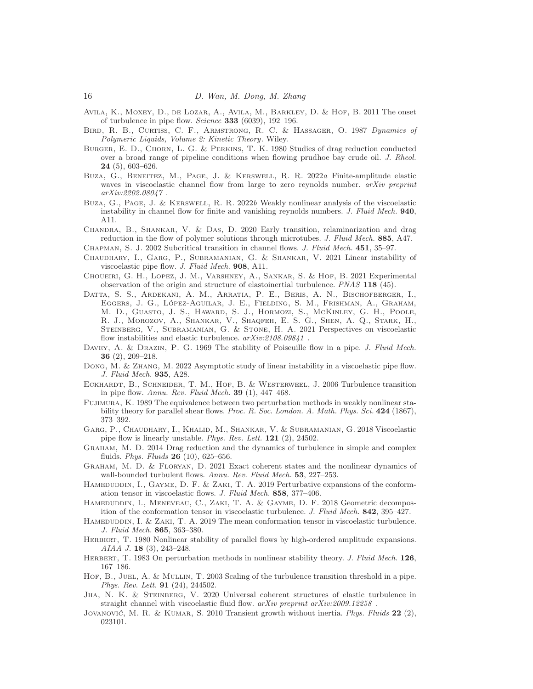- <span id="page-15-4"></span>Avila, K., Moxey, D., de Lozar, A., Avila, M., Barkley, D. & Hof, B. 2011 The onset of turbulence in pipe flow. *Science* 333 (6039), 192–196.
- <span id="page-15-20"></span>Bird, R. B., Curtiss, C. F., Armstrong, R. C. & Hassager, O. 1987 *Dynamics of Polymeric Liquids, Volume 2: Kinetic Theory*. Wiley.
- <span id="page-15-0"></span>Burger, E. D., Chorn, L. G. & Perkins, T. K. 1980 Studies of drag reduction conducted over a broad range of pipeline conditions when flowing prudhoe bay crude oil. *J. Rheol.* 24 (5), 603–626.
- <span id="page-15-8"></span>Buza, G., Beneitez, M., Page, J. & Kerswell, R. R. 2022*a* Finite-amplitude elastic waves in viscoelastic channel flow from large to zero reynolds number. *arXiv preprint arXiv:2202.08047* .
- <span id="page-15-9"></span>Buza, G., Page, J. & Kerswell, R. R. 2022*b* Weakly nonlinear analysis of the viscoelastic instability in channel flow for finite and vanishing reynolds numbers. *J. Fluid Mech.* 940, A11.
- <span id="page-15-13"></span>Chandra, B., Shankar, V. & Das, D. 2020 Early transition, relaminarization and drag reduction in the flow of polymer solutions through microtubes. *J. Fluid Mech.* 885, A47.
- <span id="page-15-17"></span>Chapman, S. J. 2002 Subcritical transition in channel flows. *J. Fluid Mech.* 451, 35–97.
- <span id="page-15-6"></span>Chaudhary, I., Garg, P., Subramanian, G. & Shankar, V. 2021 Linear instability of viscoelastic pipe flow. *J. Fluid Mech.* 908, A11.
- <span id="page-15-14"></span>Choueiri, G. H., Lopez, J. M., Varshney, A., Sankar, S. & Hof, B. 2021 Experimental observation of the origin and structure of elastoinertial turbulence. *PNAS* 118 (45).
- <span id="page-15-2"></span>Datta, S. S., Ardekani, A. M., Arratia, P. E., Beris, A. N., Bischofberger, I., Eggers, J. G., López-Aguilar, J. E., Fielding, S. M., Frishman, A., Graham, M. D., Guasto, J. S., Haward, S. J., Hormozi, S., McKinley, G. H., Poole, R. J., Morozov, A., Shankar, V., Shaqfeh, E. S. G., Shen, A. Q., Stark, H., Steinberg, V., Subramanian, G. & Stone, H. A. 2021 Perspectives on viscoelastic flow instabilities and elastic turbulence. *arXiv:2108.09841* .
- <span id="page-15-3"></span>Davey, A. & Drazin, P. G. 1969 The stability of Poiseuille flow in a pipe. *J. Fluid Mech.* 36 (2), 209–218.
- <span id="page-15-7"></span>Dong, M. & Zhang, M. 2022 Asymptotic study of linear instability in a viscoelastic pipe flow. *J. Fluid Mech.* 935, A28.
- <span id="page-15-11"></span>ECKHARDT, B., SCHNEIDER, T. M., HOF, B. & WESTERWEEL, J. 2006 Turbulence transition in pipe flow. *Annu. Rev. Fluid Mech.* 39 (1), 447–468.
- <span id="page-15-16"></span>Fujimura, K. 1989 The equivalence between two perturbation methods in weakly nonlinear stability theory for parallel shear flows. *Proc. R. Soc. London. A. Math. Phys. Sci.* 424 (1867), 373–392.
- <span id="page-15-5"></span>Garg, P., Chaudhary, I., Khalid, M., Shankar, V. & Subramanian, G. 2018 Viscoelastic pipe flow is linearly unstable. *Phys. Rev. Lett.* 121 (2), 24502.
- <span id="page-15-1"></span>Graham, M. D. 2014 Drag reduction and the dynamics of turbulence in simple and complex fluids. *Phys. Fluids* 26 (10), 625–656.
- <span id="page-15-12"></span>Graham, M. D. & Floryan, D. 2021 Exact coherent states and the nonlinear dynamics of wall-bounded turbulent flows. *Annu. Rev. Fluid Mech.* 53, 227–253.
- <span id="page-15-23"></span>HAMEDUDDIN, I., GAYME, D. F. & ZAKI, T. A. 2019 Perturbative expansions of the conformation tensor in viscoelastic flows. *J. Fluid Mech.* 858, 377–406.
- <span id="page-15-22"></span>Hameduddin, I., Meneveau, C., Zaki, T. A. & Gayme, D. F. 2018 Geometric decomposition of the conformation tensor in viscoelastic turbulence. *J. Fluid Mech.* 842, 395–427.
- <span id="page-15-24"></span>HAMEDUDDIN, I. & ZAKI, T. A. 2019 The mean conformation tensor in viscoelastic turbulence. *J. Fluid Mech.* 865, 363–380.
- <span id="page-15-21"></span>HERBERT, T. 1980 Nonlinear stability of parallel flows by high-ordered amplitude expansions. *AIAA J.* 18 (3), 243–248.
- <span id="page-15-15"></span>HERBERT, T. 1983 On perturbation methods in nonlinear stability theory. *J. Fluid Mech.* 126, 167–186.
- <span id="page-15-18"></span>Hof, B., JUEL, A. & MULLIN, T. 2003 Scaling of the turbulence transition threshold in a pipe. *Phys. Rev. Lett.* 91 (24), 244502.
- <span id="page-15-10"></span>JHA, N. K. & STEINBERG, V. 2020 Universal coherent structures of elastic turbulence in straight channel with viscoelastic fluid flow. *arXiv preprint arXiv:2009.12258* .
- <span id="page-15-19"></span>Jovanović, M. R. & Kumar, S. 2010 Transient growth without inertia. *Phys. Fluids* 22 (2), 023101.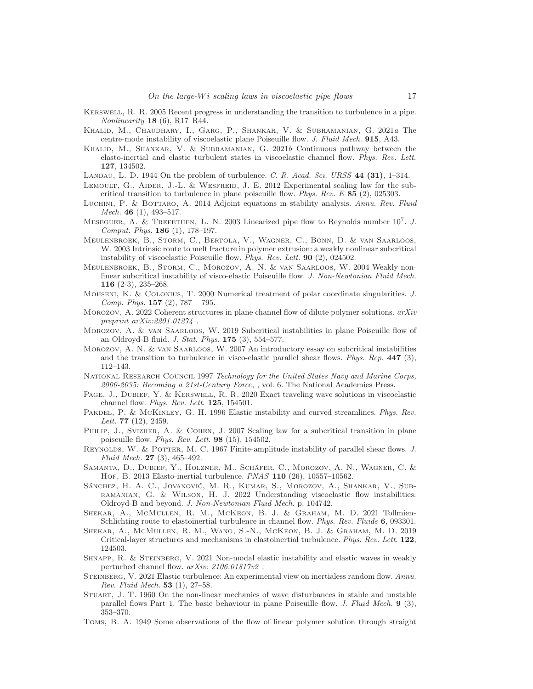- <span id="page-16-12"></span>Kerswell, R. R. 2005 Recent progress in understanding the transition to turbulence in a pipe. *Nonlinearity* 18 (6), R17–R44.
- <span id="page-16-9"></span>Khalid, M., Chaudhary, I., Garg, P., Shankar, V. & Subramanian, G. 2021*a* The centre-mode instability of viscoelastic plane Poiseuille flow. *J. Fluid Mech.* 915, A43.
- <span id="page-16-11"></span>Khalid, M., Shankar, V. & Subramanian, G. 2021*b* Continuous pathway between the elasto-inertial and elastic turbulent states in viscoelastic channel flow. *Phys. Rev. Lett.* 127, 134502.
- <span id="page-16-13"></span>Landau, L. D. 1944 On the problem of turbulence. *C. R. Acad. Sci. URSS* 44 (31), 1–314.
- <span id="page-16-20"></span>LEMOULT, G., AIDER, J.-L. & WESFREID, J. E. 2012 Experimental scaling law for the subcritical transition to turbulence in plane poiseuille flow. *Phys. Rev. E* 85 (2), 025303.
- <span id="page-16-24"></span>Luchini, P. & Bottaro, A. 2014 Adjoint equations in stability analysis. *Annu. Rev. Fluid Mech.* 46 (1), 493–517.
- <span id="page-16-4"></span>MESEGUER, A. & TREFETHEN, L. N. 2003 Linearized pipe flow to Reynolds number  $10^7$ . *J. Comput. Phys.* 186 (1), 178–197.
- <span id="page-16-16"></span>Meulenbroek, B., Storm, C., Bertola, V., Wagner, C., Bonn, D. & van Saarloos, W. 2003 Intrinsic route to melt fracture in polymer extrusion: a weakly nonlinear subcritical instability of viscoelastic Poiseuille flow. *Phys. Rev. Lett.* 90 (2), 024502.
- <span id="page-16-17"></span>Meulenbroek, B., Storm, C., Morozov, A. N. & van Saarloos, W. 2004 Weakly nonlinear subcritical instability of visco-elastic Poiseuille flow. *J. Non-Newtonian Fluid Mech.* 116 (2-3), 235–268.
- <span id="page-16-25"></span>Mohseni, K. & Colonius, T. 2000 Numerical treatment of polar coordinate singularities. *J. Comp. Phys.* 157 (2), 787 – 795.
- <span id="page-16-10"></span>Morozov, A. 2022 Coherent structures in plane channel flow of dilute polymer solutions. *arXiv preprint arXiv:2201.01274* .
- <span id="page-16-18"></span>Morozov, A. & van Saarloos, W. 2019 Subcritical instabilities in plane Poiseuille flow of an Oldroyd-B fluid. *J. Stat. Phys.* 175 (3), 554–577.
- <span id="page-16-22"></span>Morozov, A. N. & van Saarloos, W. 2007 An introductory essay on subcritical instabilities and the transition to turbulence in visco-elastic parallel shear flows. *Phys. Rep.* 447 (3), 112–143.
- <span id="page-16-1"></span>National Research Council 1997 *Technology for the United States Navy and Marine Corps, 2000-2035: Becoming a 21st-Century Force*, , vol. 6. The National Academies Press.
- <span id="page-16-8"></span>PAGE, J., DUBIEF, Y. & KERSWELL, R. R. 2020 Exact traveling wave solutions in viscoelastic channel flow. *Phys. Rev. Lett.* 125, 154501.
- <span id="page-16-23"></span>Pakdel, P. & McKinley, G. H. 1996 Elastic instability and curved streamlines. *Phys. Rev. Lett.* 77 (12), 2459.
- <span id="page-16-19"></span>PHILIP, J., SVIZHER, A. & COHEN, J. 2007 Scaling law for a subcritical transition in plane poiseuille flow. *Phys. Rev. Lett.* 98 (15), 154502.
- <span id="page-16-15"></span>REYNOLDS, W. & POTTER, M. C. 1967 Finite-amplitude instability of parallel shear flows. *J. Fluid Mech.* 27 (3), 465–492.
- <span id="page-16-7"></span>Samanta, D., Dubief, Y., Holzner, M., Schäfer, C., Morozov, A. N., Wagner, C. & HOF, B. 2013 Elasto-inertial turbulence. *PNAS* 110 (26), 10557-10562.
- <span id="page-16-3"></span>Sánchez, H. A. C., Jovanović, M. R., Kumar, S., Morozov, A., Shankar, V., Subramanian, G. & Wilson, H. J. 2022 Understanding viscoelastic flow instabilities: Oldroyd-B and beyond. *J. Non-Newtonian Fluid Mech.* p. 104742.
- <span id="page-16-6"></span>Shekar, A., McMullen, R. M., McKeon, B. J. & Graham, M. D. 2021 Tollmien-Schlichting route to elastoinertial turbulence in channel flow. *Phys. Rev. Fluids* 6, 093301.
- <span id="page-16-5"></span>Shekar, A., McMullen, R. M., Wang, S.-N., McKeon, B. J. & Graham, M. D. 2019 Critical-layer structures and mechanisms in elastoinertial turbulence. *Phys. Rev. Lett.* 122, 124503.
- <span id="page-16-21"></span>Shnapp, R. & Steinberg, V. 2021 Non-modal elastic instability and elastic waves in weakly perturbed channel flow. *arXiv: 2106.01817v2* .
- <span id="page-16-2"></span>Steinberg, V. 2021 Elastic turbulence: An experimental view on inertialess random flow. *Annu. Rev. Fluid Mech.* 53 (1), 27–58.
- <span id="page-16-14"></span>Stuart, J. T. 1960 On the non-linear mechanics of wave disturbances in stable and unstable parallel flows Part 1. The basic behaviour in plane Poiseuille flow. *J. Fluid Mech.* 9 (3), 353–370.
- <span id="page-16-0"></span>Toms, B. A. 1949 Some observations of the flow of linear polymer solution through straight